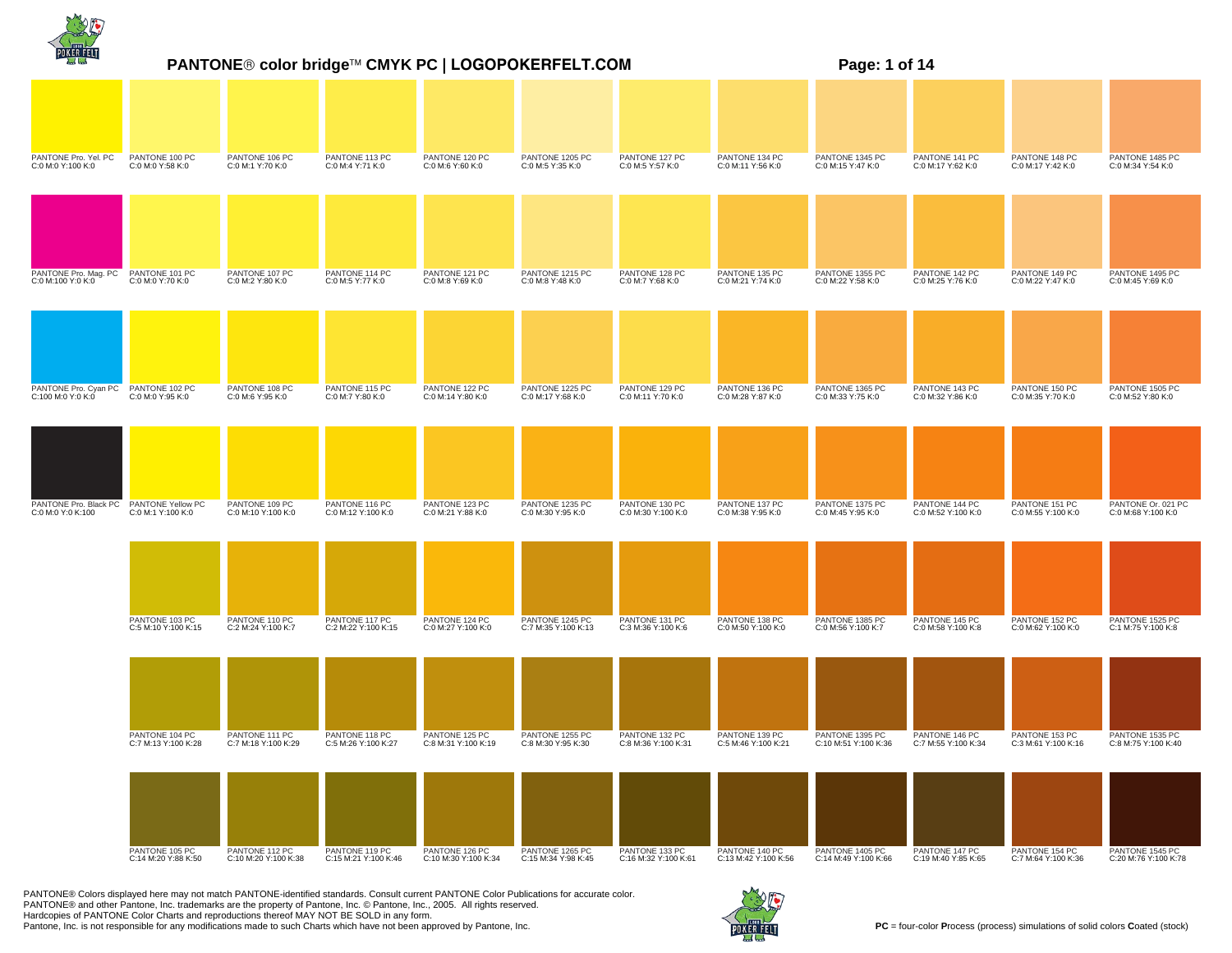|                                            | PANTONE® color bridge™ CMYK PC   LOGOPOKERFELT.COM<br>Page: 1 of 14 |                                        |                                        |                                        |                                        |                                        |                                        |                                         |                                       |                                       |                                          |
|--------------------------------------------|---------------------------------------------------------------------|----------------------------------------|----------------------------------------|----------------------------------------|----------------------------------------|----------------------------------------|----------------------------------------|-----------------------------------------|---------------------------------------|---------------------------------------|------------------------------------------|
|                                            |                                                                     |                                        |                                        |                                        |                                        |                                        |                                        |                                         |                                       |                                       |                                          |
| PANTONE Pro. Yel. PC<br>C:0 M:0 Y:100 K:0  | PANTONE 100 PC<br>C:0 M:0 Y:58 K:0                                  | PANTONE 106 PC<br>C:0 M:1 Y:70 K:0     | PANTONE 113 PC<br>C:0 M:4 Y:71 K:0     | PANTONE 120 PC<br>C:0 M:6 Y:60 K:0     | PANTONE 1205 PC<br>C:0 M:5 Y:35 K:0    | PANTONE 127 PC<br>C:0 M:5 Y:57 K:0     | PANTONE 134 PC<br>C:0 M:11 Y:56 K:0    | PANTONE 1345 PC<br>C:0 M:15 Y:47 K:0    | PANTONE 141 PC<br>C:0 M:17 Y:62 K:0   | PANTONE 148 PC<br>C:0 M:17 Y:42 K:0   | PANTONE 1485 PC<br>C:0 M:34 Y:54 K:0     |
|                                            |                                                                     |                                        |                                        |                                        |                                        |                                        |                                        |                                         |                                       |                                       |                                          |
| PANTONE Pro. Mag. PC<br>C:0 M:100 Y:0 K:0  | PANTONE 101 PC<br>C:0 M:0 Y:70 K:0                                  | PANTONE 107 PC<br>C:0 M:2 Y:80 K:0     | PANTONE 114 PC<br>C:0 M:5 Y:77 K:0     | PANTONE 121 PC<br>C:0 M:8 Y:69 K:0     | PANTONE 1215 PC<br>C:0 M:8 Y:48 K:0    | PANTONE 128 PC<br>C:0 M:7 Y:68 K:0     | PANTONE 135 PC<br>C:0 M:21 Y:74 K:0    | PANTONE 1355 PC<br>C:0 M:22 Y:58 K:0    | PANTONE 142 PC<br>C:0 M:25 Y:76 K:0   | PANTONE 149 PC<br>C:0 M:22 Y:47 K:0   | PANTONE 1495 PC<br>C:0 M:45 Y:69 K:0     |
|                                            |                                                                     |                                        |                                        |                                        |                                        |                                        |                                        |                                         |                                       |                                       |                                          |
| PANTONE Pro. Cyan PC<br>C:100 M:0 Y:0 K:0  | PANTONE 102 PC<br>C:0 M:0 Y:95 K:0                                  | PANTONE 108 PC<br>C:0 M:6 Y:95 K:0     | PANTONE 115 PC<br>C:0 M:7 Y:80 K:0     | PANTONE 122 PC<br>C:0 M:14 Y:80 K:0    | PANTONE 1225 PC<br>C:0 M:17 Y:68 K:0   | PANTONE 129 PC<br>C:0 M:11 Y:70 K:0    | PANTONE 136 PC<br>C:0 M:28 Y:87 K:0    | PANTONE 1365 PC<br>C:0 M:33 Y:75 K:0    | PANTONE 143 PC<br>C:0 M:32 Y:86 K:0   | PANTONE 150 PC<br>C:0 M:35 Y:70 K:0   | PANTONE 1505 PC<br>C:0 M:52 Y:80 K:0     |
|                                            |                                                                     |                                        |                                        |                                        |                                        |                                        |                                        |                                         |                                       |                                       |                                          |
| PANTONE Pro. Black PC<br>C:0 M:0 Y:0 K:100 | PANTONE Yellow PC<br>C:0 M:1 Y:100 K:0                              | PANTONE 109 PC<br>C:0 M:10 Y:100 K:0   | PANTONE 116 PC<br>C:0 M:12 Y:100 K:0   | PANTONE 123 PC<br>C:0 M:21 Y:88 K:0    | PANTONE 1235 PC<br>C:0 M:30 Y:95 K:0   | PANTONE 130 PC<br>C:0 M:30 Y:100 K:0   | PANTONE 137 PC<br>C:0 M:38 Y:95 K:0    | PANTONE 1375 PC<br>C:0 M:45 Y:95 K:0    | PANTONE 144 PC<br>C:0 M:52 Y:100 K:0  | PANTONE 151 PC<br>C:0 M:55 Y:100 K:0  | PANTONE Or. 021 PC<br>C:0 M:68 Y:100 K:0 |
|                                            |                                                                     |                                        |                                        |                                        |                                        |                                        |                                        |                                         |                                       |                                       |                                          |
|                                            | PANTONE 103 PC<br>C:5 M:10 Y:100 K:15                               | PANTONE 110 PC<br>C:2 M:24 Y:100 K:7   | PANTONE 117 PC<br>C:2 M:22 Y:100 K:15  | PANTONE 124 PC<br>C:0 M:27 Y:100 K:0   | PANTONE 1245 PC<br>C:7 M:35 Y:100 K:13 | PANTONE 131 PC<br>C:3 M:36 Y:100 K:6   | PANTONE 138 PC<br>C:0 M:50 Y:100 K:0   | PANTONE 1385 PC<br>C:0 M:56 Y:100 K:7   | PANTONE 145 PC<br>C:0 M:58 Y:100 K:8  | PANTONE 152 PC<br>C:0 M:62 Y:100 K:0  | PANTONE 1525 PC<br>C:1 M:75 Y:100 K:8    |
|                                            |                                                                     |                                        |                                        |                                        |                                        |                                        |                                        |                                         |                                       |                                       |                                          |
|                                            | PANTONE 104 PC<br>C:7 M:13 Y:100 K:28                               | PANTONE 111 PC<br>C:7 M:18 Y:100 K:29  | PANTONE 118 PC<br>C:5 M:26 Y:100 K:27  | PANTONE 125 PC<br>C:8 M:31 Y:100 K:19  | PANTONE 1255 PC<br>C:8 M:30 Y:95 K:30  | PANTONE 132 PC<br>C:8 M:36 Y:100 K:31  | PANTONE 139 PC<br>C:5 M:46 Y:100 K:21  | PANTONE 1395 PC<br>C:10 M:51 Y:100 K:36 | PANTONE 146 PC<br>C:7 M:55 Y:100 K:34 | PANTONE 153 PC<br>C:3 M:61 Y:100 K:16 | PANTONE 1535 PC<br>C:8 M:75 Y:100 K:40   |
|                                            |                                                                     |                                        |                                        |                                        |                                        |                                        |                                        |                                         |                                       |                                       |                                          |
|                                            | PANTONE 105 PC<br>C:14 M:20 Y:88 K:50                               | PANTONE 112 PC<br>C:10 M:20 Y:100 K:38 | PANTONE 119 PC<br>C:15 M:21 Y:100 K:46 | PANTONE 126 PC<br>C:10 M:30 Y:100 K:34 | PANTONE 1265 PC<br>C:15 M:34 Y:98 K:45 | PANTONE 133 PC<br>C:16 M:32 Y:100 K:61 | PANTONE 140 PC<br>C:13 M:42 Y:100 K:56 | PANTONE 1405 PC<br>C:14 M:49 Y:100 K:66 | PANTONE 147 PC<br>C:19 M:40 Y:85 K:65 | PANTONE 154 PC<br>C:7 M:64 Y:100 K:36 | PANTONE 1545 PC<br>C:20 M:76 Y:100 K:78  |

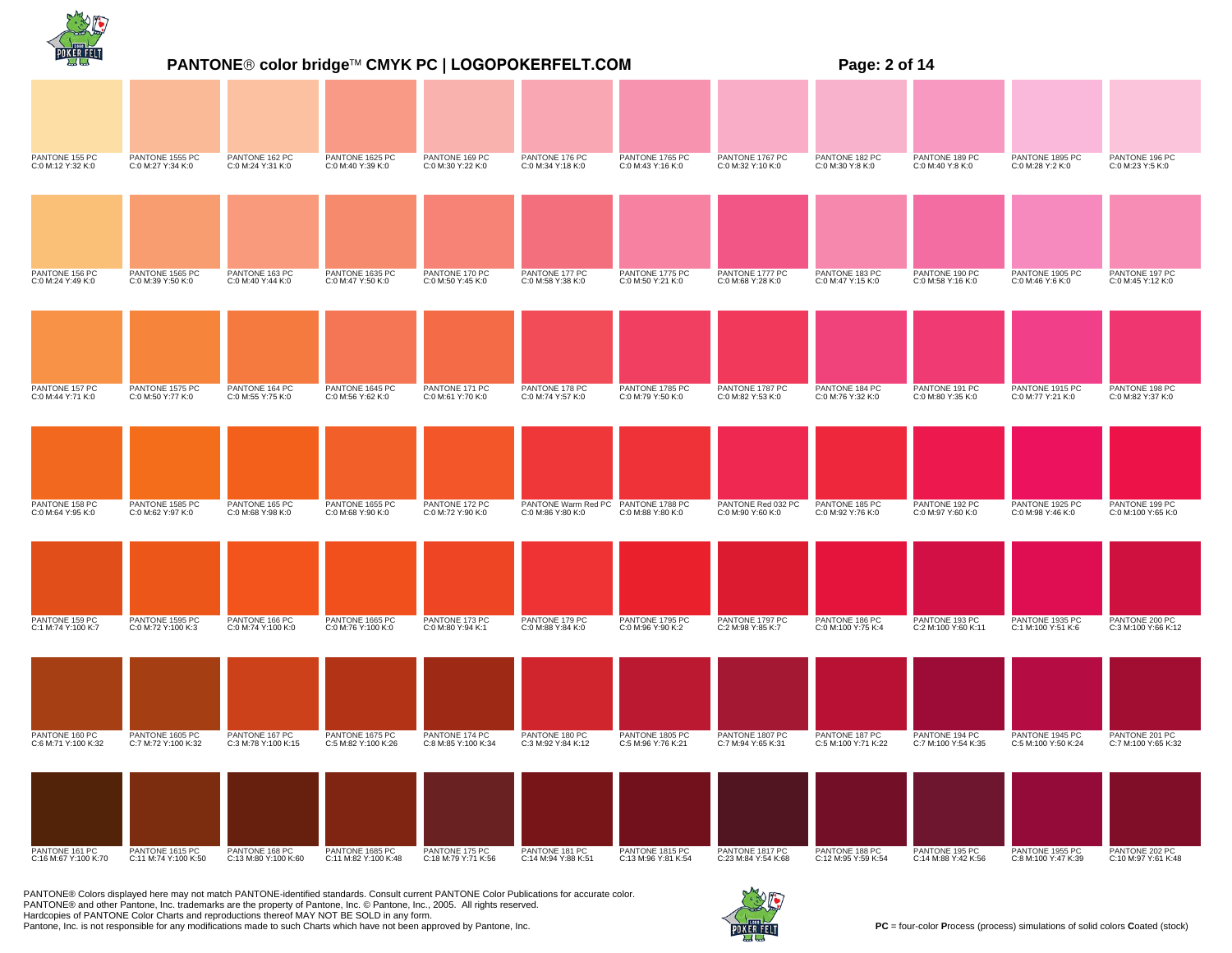|                                        |                                         |                                        |                                         |                                       | PANTONE® color bridge™ CMYK PC   LOGOPOKERFELT.COM       | Page: 2 of 14                          |                                         |                                       |                                       |                                        |                                       |  |
|----------------------------------------|-----------------------------------------|----------------------------------------|-----------------------------------------|---------------------------------------|----------------------------------------------------------|----------------------------------------|-----------------------------------------|---------------------------------------|---------------------------------------|----------------------------------------|---------------------------------------|--|
|                                        |                                         |                                        |                                         |                                       |                                                          |                                        |                                         |                                       |                                       |                                        |                                       |  |
| PANTONE 155 PC<br>C:0 M:12 Y:32 K:0    | PANTONE 1555 PC<br>C:0 M:27 Y:34 K:0    | PANTONE 162 PC<br>C:0 M:24 Y:31 K:0    | PANTONE 1625 PC<br>C:0 M:40 Y:39 K:0    | PANTONE 169 PC<br>C:0 M:30 Y:22 K:0   | PANTONE 176 PC<br>C:0 M:34 Y:18 K:0                      | PANTONE 1765 PC<br>C:0 M:43 Y:16 K:0   | PANTONE 1767 PC<br>C:0 M:32 Y:10 K:0    | PANTONE 182 PC<br>C:0 M:30 Y:8 K:0    | PANTONE 189 PC<br>C:0 M:40 Y:8 K:0    | PANTONE 1895 PC<br>C:0 M:28 Y:2 K:0    | PANTONE 196 PC<br>C:0 M:23 Y:5 K:0    |  |
|                                        |                                         |                                        |                                         |                                       |                                                          |                                        |                                         |                                       |                                       |                                        |                                       |  |
| PANTONE 156 PC<br>C:0 M:24 Y:49 K:0    | PANTONE 1565 PC<br>C:0 M:39 Y:50 K:0    | PANTONE 163 PC<br>C:0 M:40 Y:44 K:0    | PANTONE 1635 PC<br>C:0 M:47 Y:50 K:0    | PANTONE 170 PC<br>C:0 M:50 Y:45 K:0   | PANTONE 177 PC<br>C:0 M:58 Y:38 K:0                      | PANTONE 1775 PC<br>C:0 M:50 Y:21 K:0   | PANTONE 1777 PC<br>C:0 M:68 Y:28 K:0    | PANTONE 183 PC<br>C:0 M:47 Y:15 K:0   | PANTONE 190 PC<br>C:0 M:58 Y:16 K:0   | PANTONE 1905 PC<br>C:0 M:46 Y:6 K:0    | PANTONE 197 PC<br>C:0 M:45 Y:12 K:0   |  |
|                                        |                                         |                                        |                                         |                                       |                                                          |                                        |                                         |                                       |                                       |                                        |                                       |  |
| PANTONE 157 PC<br>C:0 M:44 Y:71 K:0    | PANTONE 1575 PC<br>C:0 M:50 Y:77 K:0    | PANTONE 164 PC<br>C:0 M:55 Y:75 K:0    | PANTONE 1645 PC<br>C:0 M:56 Y:62 K:0    | PANTONE 171 PC<br>C:0 M:61 Y:70 K:0   | PANTONE 178 PC<br>C:0 M:74 Y:57 K:0                      | PANTONE 1785 PC<br>C:0 M:79 Y:50 K:0   | PANTONE 1787 PC<br>C:0 M:82 Y:53 K:0    | PANTONE 184 PC<br>C:0 M:76 Y:32 K:0   | PANTONE 191 PC<br>C:0 M:80 Y:35 K:0   | PANTONE 1915 PC<br>C:0 M:77 Y:21 K:0   | PANTONE 198 PC<br>C:0 M:82 Y:37 K:0   |  |
|                                        |                                         |                                        |                                         |                                       |                                                          |                                        |                                         |                                       |                                       |                                        |                                       |  |
| PANTONE 158 PC<br>C:0 M:64 Y:95 K:0    | PANTONE 1585 PC<br>C:0 M:62 Y:97 K:0    | PANTONE 165 PC<br>C:0 M:68 Y:98 K:0    | PANTONE 1655 PC<br>C:0 M:68 Y:90 K:0    | PANTONE 172 PC<br>C:0 M:72 Y:90 K:0   | PANTONE Warm Red PC PANTONE 1788 PC<br>C:0 M:86 Y:80 K:0 | C:0 M:88 Y:80 K:0                      | PANTONE Red 032 PC<br>C:0 M:90 Y:60 K:0 | PANTONE 185 PC<br>C:0 M:92 Y:76 K:0   | PANTONE 192 PC<br>C:0 M:97 Y:60 K:0   | PANTONE 1925 PC<br>C:0 M:98 Y:46 K:0   | PANTONE 199 PC<br>C:0 M:100 Y:65 K:0  |  |
|                                        |                                         |                                        |                                         |                                       |                                                          |                                        |                                         |                                       |                                       |                                        |                                       |  |
| PANTONE 159 PC<br>C:1 M:74 Y:100 K:7   | PANTONE 1595 PC<br>C:0 M:72 Y:100 K:3   | PANTONE 166 PC<br>C:0 M:74 Y:100 K:0   | PANTONE 1665 PC<br>C:0 M:76 Y:100 K:0   | PANTONE 173 PC<br>C:0 M:80 Y:94 K:1   | PANTONE 179 PC<br>C:0 M:88 Y:84 K:0                      | PANTONE 1795 PC<br>C:0 M:96 Y:90 K:2   | PANTONE 1797 PC<br>C:2 M:98 Y:85 K:7    | PANTONE 186 PC<br>C:0 M:100 Y:75 K:4  | PANTONE 193 PC<br>C:2 M:100 Y:60 K:11 | PANTONE 1935 PC<br>C:1 M:100 Y:51 K:6  | PANTONE 200 PC<br>C:3 M:100 Y:66 K:12 |  |
|                                        |                                         |                                        |                                         |                                       |                                                          |                                        |                                         |                                       |                                       |                                        |                                       |  |
| PANTONE 160 PC<br>C:6 M:71 Y:100 K:32  | PANTONE 1605 PC<br>C:7 M:72 Y:100 K:32  | PANTONE 167 PC<br>C:3 M:78 Y:100 K:15  | PANTONE 1675 PC<br>C:5 M:82 Y:100 K:26  | PANTONE 174 PC<br>C:8 M:85 Y:100 K:34 | PANTONE 180 PC<br>C:3 M:92 Y:84 K:12                     | PANTONE 1805 PC<br>C:5 M:96 Y:76 K:21  | PANTONE 1807 PC<br>C:7 M:94 Y:65 K:31   | PANTONE 187 PC<br>C:5 M:100 Y:71 K:22 | PANTONE 194 PC<br>C:7 M:100 Y:54 K:35 | PANTONE 1945 PC<br>C:5 M:100 Y:50 K:24 | PANTONE 201 PC<br>C:7 M:100 Y:65 K:32 |  |
|                                        |                                         |                                        |                                         |                                       |                                                          |                                        |                                         |                                       |                                       |                                        |                                       |  |
| PANTONE 161 PC<br>C:16 M:67 Y:100 K:70 | PANTONE 1615 PC<br>C:11 M:74 Y:100 K:50 | PANTONE 168 PC<br>C:13 M:80 Y:100 K:60 | PANTONE 1685 PC<br>C:11 M:82 Y:100 K:48 | PANTONE 175 PC<br>C:18 M:79 Y:71 K:56 | PANTONE 181 PC<br>C:14 M:94 Y:88 K:51                    | PANTONE 1815 PC<br>C:13 M:96 Y:81 K:54 | PANTONE 1817 PC<br>C:23 M:84 Y:54 K:68  | PANTONE 188 PC<br>C:12 M:95 Y:59 K:54 | PANTONE 195 PC<br>C:14 M:88 Y:42 K:56 | PANTONE 1955 PC<br>C:8 M:100 Y:47 K:39 | PANTONE 202 PC<br>C:10 M:97 Y:61 K:48 |  |

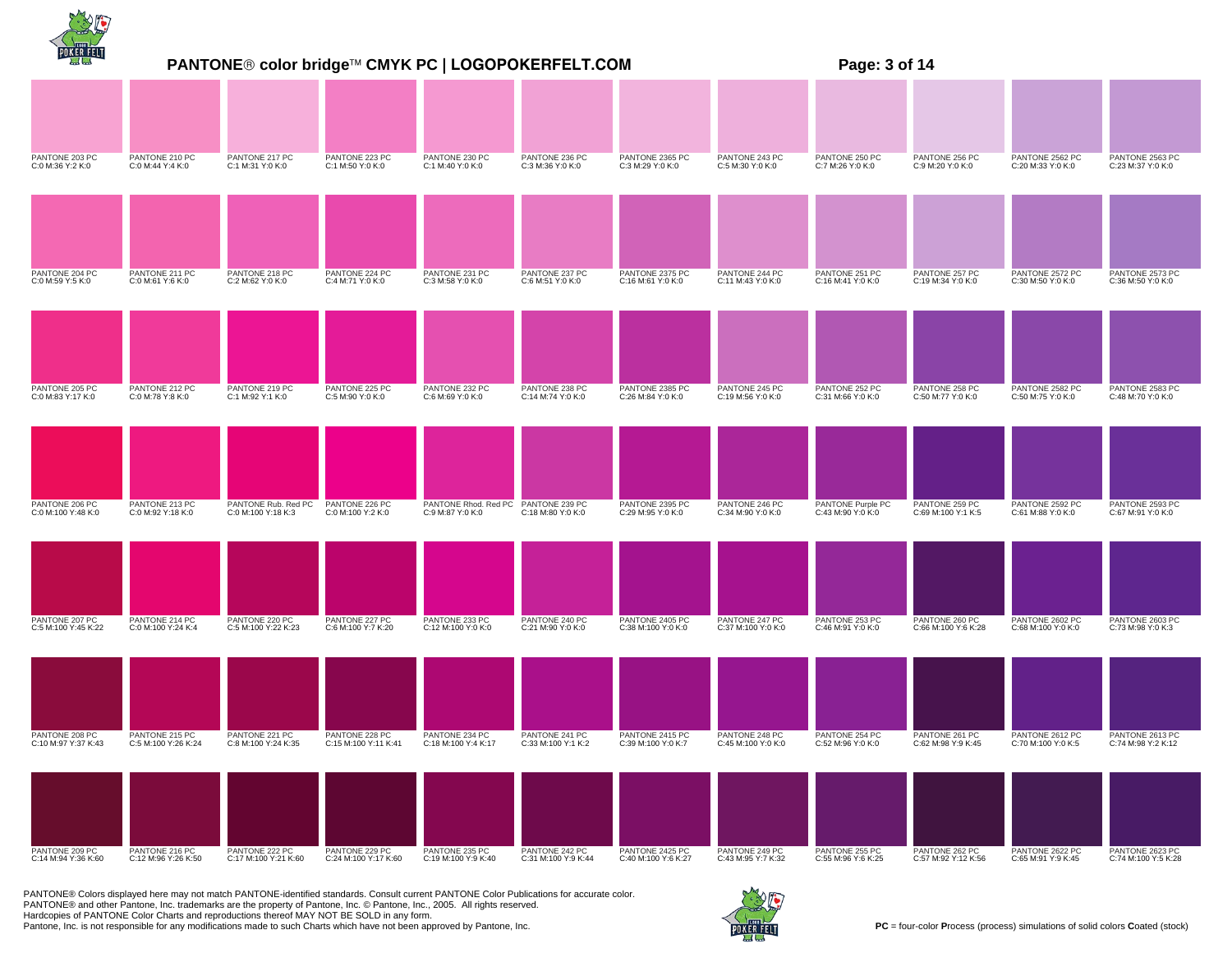|                                       | <b>PANTONE® color bridge™ CMYK PC   LOGOPOKERFELT.COM</b><br>Page: 3 of 14 |                                           |                                        |                                                         |                                       |                                        |                                      |                                        |                                       |                                       |                                        |
|---------------------------------------|----------------------------------------------------------------------------|-------------------------------------------|----------------------------------------|---------------------------------------------------------|---------------------------------------|----------------------------------------|--------------------------------------|----------------------------------------|---------------------------------------|---------------------------------------|----------------------------------------|
|                                       |                                                                            |                                           |                                        |                                                         |                                       |                                        |                                      |                                        |                                       |                                       |                                        |
| PANTONE 203 PC<br>C:0 M:36 Y:2 K:0    | PANTONE 210 PC<br>C:0 M:44 Y:4 K:0                                         | PANTONE 217 PC<br>C:1 M:31 Y:0 K:0        | PANTONE 223 PC<br>C:1 M:50 Y:0 K:0     | PANTONE 230 PC<br>C:1 M:40 Y:0 K:0                      | PANTONE 236 PC<br>C:3 M:36 Y:0 K:0    | PANTONE 2365 PC<br>C:3 M:29 Y:0 K:0    | PANTONE 243 PC<br>C:5 M:30 Y:0 K:0   | PANTONE 250 PC<br>C:7 M:26 Y:0 K:0     | PANTONE 256 PC<br>C:9 M:20 Y:0 K:0    | PANTONE 2562 PC<br>C:20 M:33 Y:0 K:0  | PANTONE 2563 PC<br>C:23 M:37 Y:0 K:0   |
|                                       |                                                                            |                                           |                                        |                                                         |                                       |                                        |                                      |                                        |                                       |                                       |                                        |
| PANTONE 204 PC<br>C:0 M:59 Y:5 K:0    | PANTONE 211 PC<br>C:0 M:61 Y:6 K:0                                         | PANTONE 218 PC<br>C:2 M:62 Y:0 K:0        | PANTONE 224 PC<br>C:4 M:71 Y:0 K:0     | PANTONE 231 PC<br>C:3 M:58 Y:0 K:0                      | PANTONE 237 PC<br>C:6 M:51 Y:0 K:0    | PANTONE 2375 PC<br>C:16 M:61 Y:0 K:0   | PANTONE 244 PC<br>C:11 M:43 Y:0 K:0  | PANTONE 251 PC<br>C:16 M:41 Y:0 K:0    | PANTONE 257 PC<br>C:19 M:34 Y:0 K:0   | PANTONE 2572 PC<br>C:30 M:50 Y:0 K:0  | PANTONE 2573 PC<br>C:36 M:50 Y:0 K:0   |
|                                       |                                                                            |                                           |                                        |                                                         |                                       |                                        |                                      |                                        |                                       |                                       |                                        |
| PANTONE 205 PC<br>C:0 M:83 Y:17 K:0   | PANTONE 212 PC<br>C:0 M:78 Y:8 K:0                                         | PANTONE 219 PC<br>C:1 M:92 Y:1 K:0        | PANTONE 225 PC<br>C:5 M:90 Y:0 K:0     | PANTONE 232 PC<br>C:6 M:69 Y:0 K:0                      | PANTONE 238 PC<br>C:14 M:74 Y:0 K:0   | PANTONE 2385 PC<br>C:26 M:84 Y:0 K:0   | PANTONE 245 PC<br>C:19 M:56 Y:0 K:0  | PANTONE 252 PC<br>C:31 M:66 Y:0 K:0    | PANTONE 258 PC<br>C:50 M:77 Y:0 K:0   | PANTONE 2582 PC<br>C:50 M:75 Y:0 K:0  | PANTONE 2583 PC<br>C:48 M:70 Y:0 K:0   |
|                                       |                                                                            |                                           |                                        |                                                         |                                       |                                        |                                      |                                        |                                       |                                       |                                        |
| PANTONE 206 PC<br>C:0 M:100 Y:48 K:0  | PANTONE 213 PC<br>C:0 M:92 Y:18 K:0                                        | PANTONE Rub. Red PC<br>C:0 M:100 Y:18 K:3 | PANTONE 226 PC<br>C:0 M:100 Y:2 K:0    | PANTONE Rhod. Red PC PANTONE 239 PC<br>C:9 M:87 Y:0 K:0 | C:18 M:80 Y:0 K:0                     | PANTONE 2395 PC<br>C:29 M:95 Y:0 K:0   | PANTONE 246 PC<br>C:34 M:90 Y:0 K:0  | PANTONE Purple PC<br>C:43 M:90 Y:0 K:0 | PANTONE 259 PC<br>C:69 M:100 Y:1 K:5  | PANTONE 2592 PC<br>C:61 M:88 Y:0 K:0  | PANTONE 2593 PC<br>C:67 M:91 Y:0 K:0   |
|                                       |                                                                            |                                           |                                        |                                                         |                                       |                                        |                                      |                                        |                                       |                                       |                                        |
| PANTONE 207 PC<br>C:5 M:100 Y:45 K:22 | PANTONE 214 PC<br>C:0 M:100 Y:24 K:4                                       | PANTONE 220 PC<br>C:5 M:100 Y:22 K:23     | PANTONE 227 PC<br>C:6 M:100 Y:7 K:20   | PANTONE 233 PC<br>C:12 M:100 Y:0 K:0                    | PANTONE 240 PC<br>C:21 M:90 Y:0 K:0   | PANTONE 2405 PC<br>C:38 M:100 Y:0 K:0  | PANTONE 247 PC<br>C:37 M:100 Y:0 K:0 | PANTONE 253 PC<br>C:46 M:91 Y:0 K:0    | PANTONE 260 PC<br>C:66 M:100 Y:6 K:28 | PANTONE 2602 PC<br>C:68 M:100 Y:0 K:0 | PANTONE 2603 PC<br>C:73 M:98 Y:0 K:3   |
|                                       |                                                                            |                                           |                                        |                                                         |                                       |                                        |                                      |                                        |                                       |                                       |                                        |
| PANTONE 208 PC<br>C:10 M:97 Y:37 K:43 | PANTONE 215 PC<br>C:5 M:100 Y:26 K:24                                      | PANTONE 221 PC<br>C:8 M:100 Y:24 K:35     | PANTONE 228 PC<br>C:15 M:100 Y:11 K:41 | PANTONE 234 PC<br>C:18 M:100 Y:4 K:17                   | PANTONE 241 PC<br>C:33 M:100 Y:1 K:2  | PANTONE 2415 PC<br>C:39 M:100 Y:0 K:7  | PANTONE 248 PC<br>C:45 M:100 Y:0 K:0 | PANTONE 254 PC<br>C:52 M:96 Y:0 K:0    | PANTONE 261 PC<br>C:62 M:98 Y:9 K:45  | PANTONE 2612 PC<br>C:70 M:100 Y:0 K:5 | PANTONE 2613 PC<br>C:74 M:98 Y:2 K:12  |
|                                       |                                                                            |                                           |                                        |                                                         |                                       |                                        |                                      |                                        |                                       |                                       |                                        |
| PANTONE 209 PC<br>C:14 M:94 Y:36 K:60 | PANTONE 216 PC<br>C:12 M:96 Y:26 K:50                                      | PANTONE 222 PC<br>C:17 M:100 Y:21 K:60    | PANTONE 229 PC<br>C:24 M:100 Y:17 K:60 | PANTONE 235 PC<br>C:19 M:100 Y:9 K:40                   | PANTONE 242 PC<br>C:31 M:100 Y:9 K:44 | PANTONE 2425 PC<br>C:40 M:100 Y:6 K:27 | PANTONE 249 PC<br>C:43 M:95 Y:7 K:32 | PANTONE 255 PC<br>C:55 M:96 Y:6 K:25   | PANTONE 262 PC<br>C:57 M:92 Y:12 K:56 | PANTONE 2622 PC<br>C:65 M:91 Y:9 K:45 | PANTONE 2623 PC<br>C:74 M:100 Y:5 K:28 |

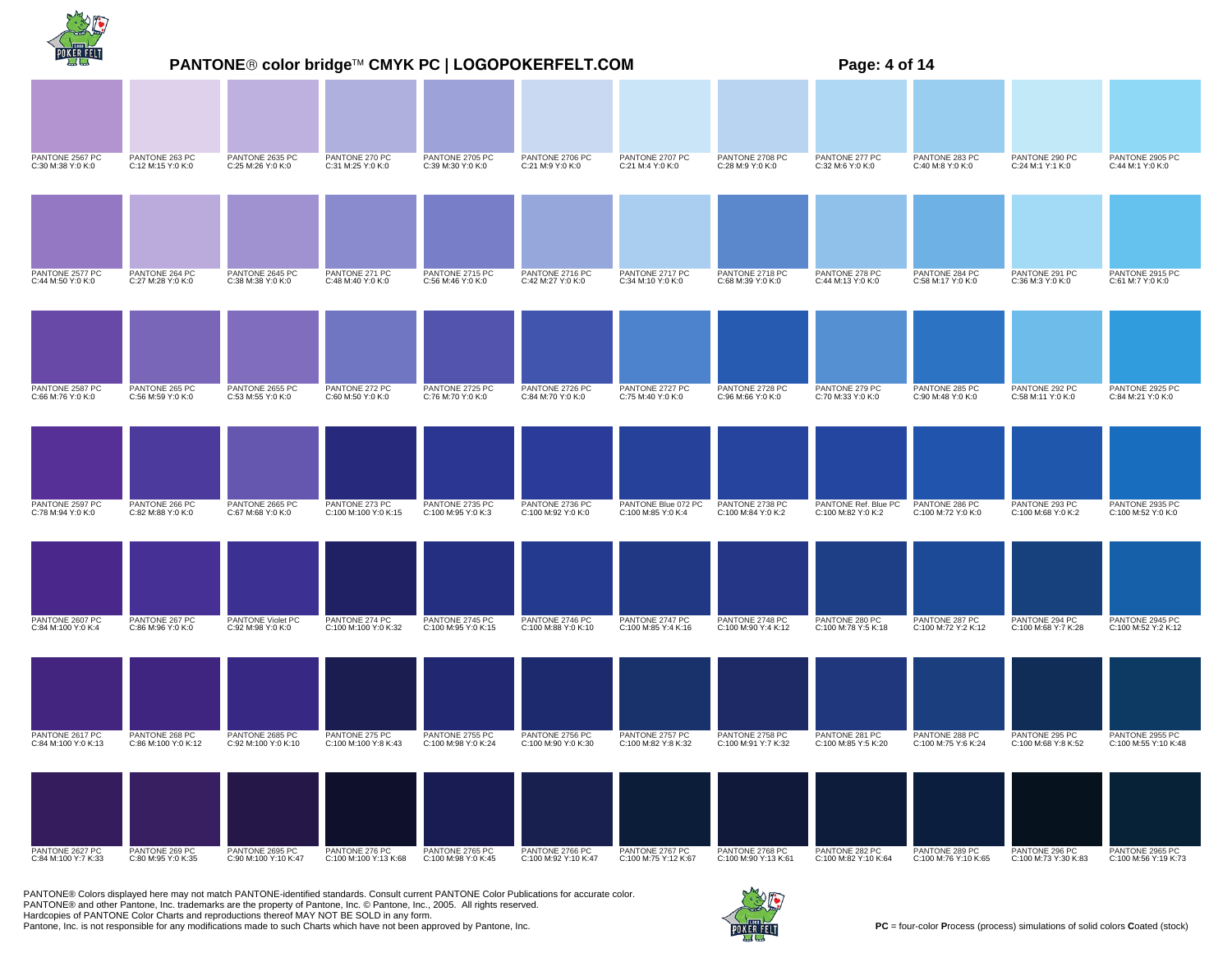|                                        | PANTONE® color bridge™ CMYK PC   LOGOPOKERFELT.COM<br>Page: 4 of 14 |                                         |                                         |                                        |                                         |                                         |                                         |                                        |                                        |                                        |                                         |  |
|----------------------------------------|---------------------------------------------------------------------|-----------------------------------------|-----------------------------------------|----------------------------------------|-----------------------------------------|-----------------------------------------|-----------------------------------------|----------------------------------------|----------------------------------------|----------------------------------------|-----------------------------------------|--|
|                                        |                                                                     |                                         |                                         |                                        |                                         |                                         |                                         |                                        |                                        |                                        |                                         |  |
| PANTONE 2567 PC<br>C:30 M:38 Y:0 K:0   | PANTONE 263 PC<br>C:12 M:15 Y:0 K:0                                 | PANTONE 2635 PC<br>C:25 M:26 Y:0 K:0    | PANTONE 270 PC<br>C:31 M:25 Y:0 K:0     | PANTONE 2705 PC<br>C:39 M:30 Y:0 K:0   | PANTONE 2706 PC<br>C:21 M:9 Y:0 K:0     | PANTONE 2707 PC<br>C:21 M:4 Y:0 K:0     | PANTONE 2708 PC<br>C:28 M:9 Y:0 K:0     | PANTONE 277 PC<br>C:32 M:6 Y:0 K:0     | PANTONE 283 PC<br>C:40 M:8 Y:0 K:0     | PANTONE 290 PC<br>C:24 M:1 Y:1 K:0     | PANTONE 2905 PC<br>C:44 M:1 Y:0 K:0     |  |
|                                        |                                                                     |                                         |                                         |                                        |                                         |                                         |                                         |                                        |                                        |                                        |                                         |  |
| PANTONE 2577 PC<br>C:44 M:50 Y:0 K:0   | PANTONE 264 PC<br>C:27 M:28 Y:0 K:0                                 | PANTONE 2645 PC<br>C:38 M:38 Y:0 K:0    | PANTONE 271 PC<br>C:48 M:40 Y:0 K:0     | PANTONE 2715 PC<br>C:56 M:46 Y:0 K:0   | PANTONE 2716 PC<br>C:42 M:27 Y:0 K:0    | PANTONE 2717 PC<br>C:34 M:10 Y:0 K:0    | PANTONE 2718 PC<br>C:68 M:39 Y:0 K:0    | PANTONE 278 PC<br>C:44 M:13 Y:0 K:0    | PANTONE 284 PC<br>C:58 M:17 Y:0 K:0    | PANTONE 291 PC<br>C:36 M:3 Y:0 K:0     | PANTONE 2915 PC<br>C:61 M:7 Y:0 K:0     |  |
| PANTONE 2587 PC                        | PANTONE 265 PC                                                      | PANTONE 2655 PC                         | PANTONE 272 PC                          | PANTONE 2725 PC                        | PANTONE 2726 PC                         | PANTONE 2727 PC                         | PANTONE 2728 PC                         | PANTONE 279 PC                         | PANTONE 285 PC                         | PANTONE 292 PC                         | PANTONE 2925 PC                         |  |
| C:66 M:76 Y:0 K:0                      | C:56 M:59 Y:0 K:0                                                   | C:53 M:55 Y:0 K:0                       | C:60 M:50 Y:0 K:0                       | C:76 M:70 Y:0 K:0                      | C:84 M:70 Y:0 K:0                       | C:75 M:40 Y:0 K:0                       | C:96 M:66 Y:0 K:0                       | C:70 M:33 Y:0 K:0                      | C:90 M:48 Y:0 K:0                      | C:58 M:11 Y:0 K:0                      | C:84 M:21 Y:0 K:0                       |  |
| PANTONE 2597 PC                        | PANTONE 266 PC                                                      | PANTONE 2665 PC                         | PANTONE 273 PC                          | PANTONE 2735 PC                        | PANTONE 2736 PC                         | PANTONE Blue 072 PC                     | PANTONE 2738 PC                         | PANTONE Ref. Blue PC                   | PANTONE 286 PC                         | PANTONE 293 PC                         | PANTONE 2935 PC                         |  |
| C:78 M:94 Y:0 K:0                      | C:82 M:88 Y:0 K:0                                                   | C:67 M:68 Y:0 K:0                       | C:100 M:100 Y:0 K:15                    | C:100 M:95 Y:0 K:3                     | C:100 M:92 Y:0 K:0                      | C:100 M:85 Y:0 K:4                      | C:100 M:84 Y:0 K:2                      | C:100 M:82 Y:0 K:2                     | C:100 M:72 Y:0 K:0                     | C:100 M:68 Y:0 K:2                     | C:100 M:52 Y:0 K:0                      |  |
| PANTONE 2607 PC<br>C:84 M:100 Y:0 K:4  | PANTONE 267 PC<br>C:86 M:96 Y:0 K:0                                 | PANTONE Violet PC<br>C:92 M:98 Y:0 K:0  | PANTONE 274 PC<br>C:100 M:100 Y:0 K:32  | PANTONE 2745 PC<br>C:100 M:95 Y:0 K:15 | PANTONE 2746 PC<br>C:100 M:88 Y:0 K:10  | PANTONE 2747 PC<br>C:100 M:85 Y:4 K:16  | PANTONE 2748 PC<br>C:100 M:90 Y:4 K:12  | PANTONE 280 PC<br>C:100 M:78 Y:5 K:18  | PANTONE 287 PC<br>C:100 M:72 Y:2 K:12  | PANTONE 294 PC<br>C:100 M:68 Y:7 K:28  | PANTONE 2945 PC<br>C:100 M:52 Y:2 K:12  |  |
|                                        |                                                                     |                                         |                                         |                                        |                                         |                                         |                                         |                                        |                                        |                                        |                                         |  |
| PANTONE 2617 PC<br>C:84 M:100 Y:0 K:13 | PANTONE 268 PC<br>C:86 M:100 Y:0 K:12                               | PANTONE 2685 PC<br>C:92 M:100 Y:0 K:10  | PANTONE 275 PC<br>C:100 M:100 Y:8 K:43  | PANTONE 2755 PC<br>C:100 M:98 Y:0 K:24 | PANTONE 2756 PC<br>C:100 M:90 Y:0 K:30  | PANTONE 2757 PC<br>C:100 M:82 Y:8 K:32  | PANTONE 2758 PC<br>C:100 M:91 Y:7 K:32  | PANTONE 281 PC<br>C:100 M:85 Y:5 K:20  | PANTONE 288 PC<br>C:100 M:75 Y:6 K:24  | PANTONE 295 PC<br>C:100 M:68 Y:8 K:52  | PANTONE 2955 PC<br>C:100 M:55 Y:10 K:48 |  |
|                                        |                                                                     |                                         |                                         |                                        |                                         |                                         |                                         |                                        |                                        |                                        |                                         |  |
| PANTONE 2627 PC<br>C:84 M:100 Y:7 K:33 | PANTONE 269 PC<br>C:80 M:95 Y:0 K:35                                | PANTONE 2695 PC<br>C:90 M:100 Y:10 K:47 | PANTONE 276 PC<br>C:100 M:100 Y:13 K:68 | PANTONE 2765 PC<br>C:100 M:98 Y:0 K:45 | PANTONE 2766 PC<br>C:100 M:92 Y:10 K:47 | PANTONE 2767 PC<br>C:100 M:75 Y:12 K:67 | PANTONE 2768 PC<br>C:100 M:90 Y:13 K:61 | PANTONE 282 PC<br>C:100 M:82 Y:10 K:64 | PANTONE 289 PC<br>C:100 M:76 Y:10 K:65 | PANTONE 296 PC<br>C:100 M:73 Y:30 K:83 | PANTONE 2965 PC<br>C:100 M:56 Y:19 K:73 |  |

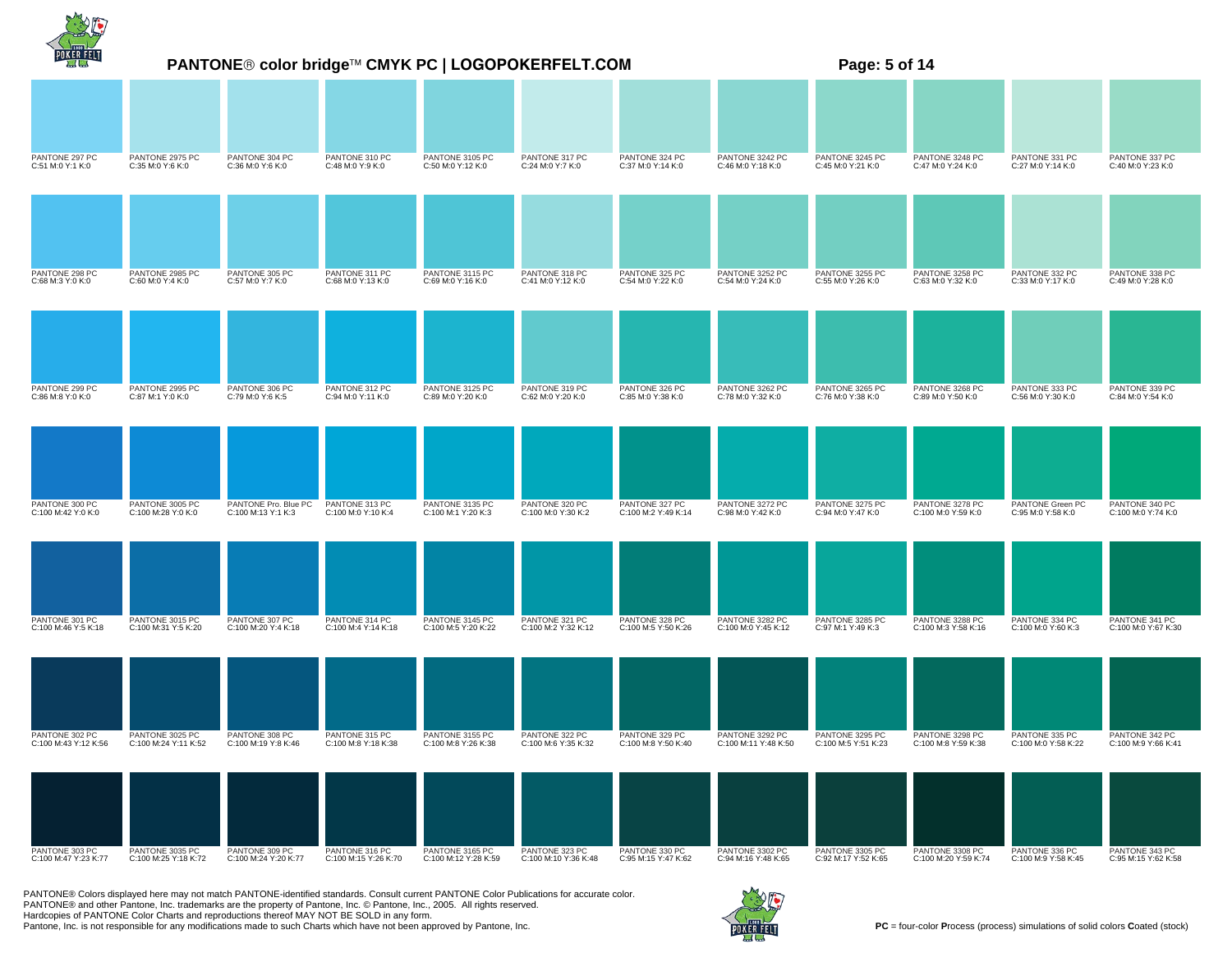|                                        | PANTONE® color bridge™ CMYK PC   LOGOPOKERFELT.COM<br>Page: 5 of 14 |                                            |                                        |                                         |                                        |                                       |                                         |                                        |                                         |                                       |                                       |
|----------------------------------------|---------------------------------------------------------------------|--------------------------------------------|----------------------------------------|-----------------------------------------|----------------------------------------|---------------------------------------|-----------------------------------------|----------------------------------------|-----------------------------------------|---------------------------------------|---------------------------------------|
|                                        |                                                                     |                                            |                                        |                                         |                                        |                                       |                                         |                                        |                                         |                                       |                                       |
| PANTONE 297 PC<br>C:51 M:0 Y:1 K:0     | PANTONE 2975 PC<br>C:35 M:0 Y:6 K:0                                 | PANTONE 304 PC<br>C:36 M:0 Y:6 K:0         | PANTONE 310 PC<br>C:48 M:0 Y:9 K:0     | PANTONE 3105 PC<br>C:50 M:0 Y:12 K:0    | PANTONE 317 PC<br>C:24 M:0 Y:7 K:0     | PANTONE 324 PC<br>C:37 M:0 Y:14 K:0   | PANTONE 3242 PC<br>C:46 M:0 Y:18 K:0    | PANTONE 3245 PC<br>C:45 M:0 Y:21 K:0   | PANTONE 3248 PC<br>C:47 M:0 Y:24 K:0    | PANTONE 331 PC<br>C:27 M:0 Y:14 K:0   | PANTONE 337 PC<br>C:40 M:0 Y:23 K:0   |
|                                        |                                                                     |                                            |                                        |                                         |                                        |                                       |                                         |                                        |                                         |                                       |                                       |
| PANTONE 298 PC<br>C:68 M:3 Y:0 K:0     | PANTONE 2985 PC<br>C:60 M:0 Y:4 K:0                                 | PANTONE 305 PC<br>C:57 M:0 Y:7 K:0         | PANTONE 311 PC<br>C:68 M:0 Y:13 K:0    | PANTONE 3115 PC<br>C:69 M:0 Y:16 K:0    | PANTONE 318 PC<br>C:41 M:0 Y:12 K:0    | PANTONE 325 PC<br>C:54 M:0 Y:22 K:0   | PANTONE 3252 PC<br>C:54 M:0 Y:24 K:0    | PANTONE 3255 PC<br>C:55 M:0 Y:26 K:0   | PANTONE 3258 PC<br>C:63 M:0 Y:32 K:0    | PANTONE 332 PC<br>C:33 M:0 Y:17 K:0   | PANTONE 338 PC<br>C:49 M:0 Y:28 K:0   |
|                                        |                                                                     |                                            |                                        |                                         |                                        |                                       |                                         |                                        |                                         |                                       |                                       |
| PANTONE 299 PC<br>C:86 M:8 Y:0 K:0     | PANTONE 2995 PC<br>C:87 M:1 Y:0 K:0                                 | PANTONE 306 PC<br>C:79 M:0 Y:6 K:5         | PANTONE 312 PC<br>C:94 M:0 Y:11 K:0    | PANTONE 3125 PC<br>C:89 M:0 Y:20 K:0    | PANTONE 319 PC<br>C:62 M:0 Y:20 K:0    | PANTONE 326 PC<br>C:85 M:0 Y:38 K:0   | PANTONE 3262 PC<br>C:78 M:0 Y:32 K:0    | PANTONE 3265 PC<br>C:76 M:0 Y:38 K:0   | PANTONE 3268 PC<br>C:89 M:0 Y:50 K:0    | PANTONE 333 PC<br>C:56 M:0 Y:30 K:0   | PANTONE 339 PC<br>C:84 M:0 Y:54 K:0   |
|                                        |                                                                     |                                            |                                        |                                         |                                        |                                       |                                         |                                        |                                         |                                       |                                       |
| PANTONE 300 PC<br>C:100 M:42 Y:0 K:0   | PANTONE 3005 PC<br>C:100 M:28 Y:0 K:0                               | PANTONE Pro. Blue PC<br>C:100 M:13 Y:1 K:3 | PANTONE 313 PC<br>C:100 M:0 Y:10 K:4   | PANTONE 3135 PC<br>C:100 M:1 Y:20 K:3   | PANTONE 320 PC<br>C:100 M:0 Y:30 K:2   | PANTONE 327 PC<br>C:100 M:2 Y:49 K:14 | PANTONE 3272 PC<br>C:98 M:0 Y:42 K:0    | PANTONE 3275 PC<br>C:94 M:0 Y:47 K:0   | PANTONE 3278 PC<br>C:100 M:0 Y:59 K:0   | PANTONE Green PC<br>C:95 M:0 Y:58 K:0 | PANTONE 340 PC<br>C:100 M:0 Y:74 K:0  |
|                                        |                                                                     |                                            |                                        |                                         |                                        |                                       |                                         |                                        |                                         |                                       |                                       |
| PANTONE 301 PC<br>C:100 M:46 Y:5 K:18  | PANTONE 3015 PC<br>C:100 M:31 Y:5 K:20                              | PANTONE 307 PC<br>C:100 M:20 Y:4 K:18      | PANTONE 314 PC<br>C:100 M:4 Y:14 K:18  | PANTONE 3145 PC<br>C:100 M:5 Y:20 K:22  | PANTONE 321 PC<br>C:100 M:2 Y:32 K:12  | PANTONE 328 PC<br>C:100 M:5 Y:50 K:26 | PANTONE 3282 PC<br>C:100 M:0 Y:45 K:12  | PANTONE 3285 PC<br>C:97 M:1 Y:49 K:3   | PANTONE 3288 PC<br>C:100 M:3 Y:58 K:16  | PANTONE 334 PC<br>C:100 M:0 Y:60 K:3  | PANTONE 341 PC<br>C:100 M:0 Y:67 K:30 |
|                                        |                                                                     |                                            |                                        |                                         |                                        |                                       |                                         |                                        |                                         |                                       |                                       |
| PANTONE 302 PC<br>C:100 M:43 Y:12 K:56 | PANTONE 3025 PC<br>C:100 M:24 Y:11 K:52                             | PANTONE 308 PC<br>C:100 M:19 Y:8 K:46      | PANTONE 315 PC<br>C:100 M:8 Y:18 K:38  | PANTONE 3155 PC<br>C:100 M:8 Y:26 K:38  | PANTONE 322 PC<br>C:100 M:6 Y:35 K:32  | PANTONE 329 PC<br>C:100 M:8 Y:50 K:40 | PANTONE 3292 PC<br>C:100 M:11 Y:48 K:50 | PANTONE 3295 PC<br>C:100 M:5 Y:51 K:23 | PANTONE 3298 PC<br>C:100 M:8 Y:59 K:38  | PANTONE 335 PC<br>C:100 M:0 Y:58 K:22 | PANTONE 342 PC<br>C:100 M:9 Y:66 K:41 |
|                                        |                                                                     |                                            |                                        |                                         |                                        |                                       |                                         |                                        |                                         |                                       |                                       |
| PANTONE 303 PC<br>C:100 M:47 Y:23 K:77 | PANTONE 3035 PC<br>C:100 M:25 Y:18 K:72                             | PANTONE 309 PC<br>C:100 M:24 Y:20 K:77     | PANTONE 316 PC<br>C:100 M:15 Y:26 K:70 | PANTONE 3165 PC<br>C:100 M:12 Y:28 K:59 | PANTONE 323 PC<br>C:100 M:10 Y:36 K:48 | PANTONE 330 PC<br>C:95 M:15 Y:47 K:62 | PANTONE 3302 PC<br>C:94 M:16 Y:48 K:65  | PANTONE 3305 PC<br>C:92 M:17 Y:52 K:65 | PANTONE 3308 PC<br>C:100 M:20 Y:59 K:74 | PANTONE 336 PC<br>C:100 M:9 Y:58 K:45 | PANTONE 343 PC<br>C:95 M:15 Y:62 K:58 |

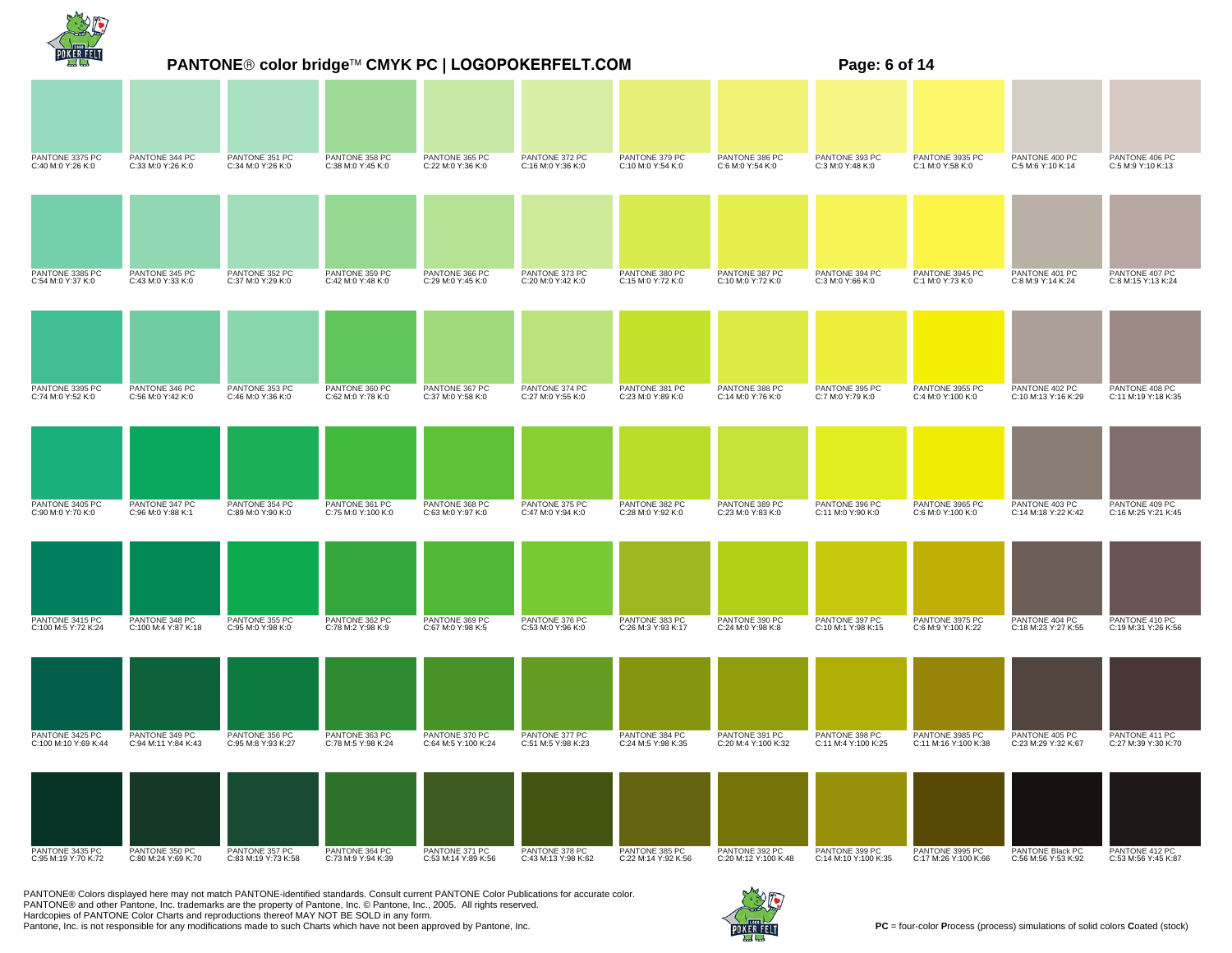|                                         | PANTONE® color bridge™ CMYK PC   LOGOPOKERFELT.COM<br>Page: 6 of 14 |                                       |                                      |                                       |                                       |                                       |                                        |                                        |                                         |                                         |                                       |  |
|-----------------------------------------|---------------------------------------------------------------------|---------------------------------------|--------------------------------------|---------------------------------------|---------------------------------------|---------------------------------------|----------------------------------------|----------------------------------------|-----------------------------------------|-----------------------------------------|---------------------------------------|--|
|                                         |                                                                     |                                       |                                      |                                       |                                       |                                       |                                        |                                        |                                         |                                         |                                       |  |
| PANTONE 3375 PC<br>C:40 M:0 Y:26 K:0    | PANTONE 344 PC<br>C:33 M:0 Y:26 K:0                                 | PANTONE 351 PC<br>C:34 M:0 Y:26 K:0   | PANTONE 358 PC<br>C:38 M:0 Y:45 K:0  | PANTONE 365 PC<br>C:22 M:0 Y:36 K:0   | PANTONE 372 PC<br>C:16 M:0 Y:36 K:0   | PANTONE 379 PC<br>C:10 M:0 Y:54 K:0   | PANTONE 386 PC<br>C:6 M:0 Y:54 K:0     | PANTONE 393 PC<br>C:3 M:0 Y:48 K:0     | PANTONE 3935 PC<br>C:1 M:0 Y:58 K:0     | PANTONE 400 PC<br>C:5 M:6 Y:10 K:14     | PANTONE 406 PC<br>C:5 M:9 Y:10 K:13   |  |
|                                         |                                                                     |                                       |                                      |                                       |                                       |                                       |                                        |                                        |                                         |                                         |                                       |  |
| PANTONE 3385 PC<br>C:54 M:0 Y:37 K:0    | PANTONE 345 PC<br>C:43 M:0 Y:33 K:0                                 | PANTONE 352 PC<br>C:37 M:0 Y:29 K:0   | PANTONE 359 PC<br>C:42 M:0 Y:48 K:0  | PANTONE 366 PC<br>C:29 M:0 Y:45 K:0   | PANTONE 373 PC<br>C:20 M:0 Y:42 K:0   | PANTONE 380 PC<br>C:15 M:0 Y:72 K:0   | PANTONE 387 PC<br>C:10 M:0 Y:72 K:0    | PANTONE 394 PC<br>C:3 M:0 Y:66 K:0     | PANTONE 3945 PC<br>C:1 M:0 Y:73 K:0     | PANTONE 401 PC<br>C:8 M:9 Y:14 K:24     | PANTONE 407 PC<br>C:8 M:15 Y:13 K:24  |  |
|                                         |                                                                     |                                       |                                      |                                       |                                       |                                       |                                        |                                        |                                         |                                         |                                       |  |
| PANTONE 3395 PC<br>C:74 M:0 Y:52 K:0    | PANTONE 346 PC<br>C:56 M:0 Y:42 K:0                                 | PANTONE 353 PC<br>C:46 M:0 Y:36 K:0   | PANTONE 360 PC<br>C:62 M:0 Y:78 K:0  | PANTONE 367 PC<br>C:37 M:0 Y:58 K:0   | PANTONE 374 PC<br>C:27 M:0 Y:55 K:0   | PANTONE 381 PC<br>C:23 M:0 Y:89 K:0   | PANTONE 388 PC<br>C:14 M:0 Y:76 K:0    | PANTONE 395 PC<br>C:7 M:0 Y:79 K:0     | PANTONE 3955 PC<br>C:4 M:0 Y:100 K:0    | PANTONE 402 PC<br>C:10 M:13 Y:16 K:29   | PANTONE 408 PC<br>C:11 M:19 Y:18 K:35 |  |
|                                         |                                                                     |                                       |                                      |                                       |                                       |                                       |                                        |                                        |                                         |                                         |                                       |  |
| PANTONE 3405 PC<br>C:90 M:0 Y:70 K:0    | PANTONE 347 PC<br>C:96 M:0 Y:88 K:1                                 | PANTONE 354 PC<br>C:89 M:0 Y:90 K:0   | PANTONE 361 PC<br>C:75 M:0 Y:100 K:0 | PANTONE 368 PC<br>C:63 M:0 Y:97 K:0   | PANTONE 375 PC<br>C:47 M:0 Y:94 K:0   | PANTONE 382 PC<br>C:28 M:0 Y:92 K:0   | PANTONE 389 PC<br>C:23 M:0 Y:83 K:0    | PANTONE 396 PC<br>C:11 M:0 Y:90 K:0    | PANTONE 3965 PC<br>C:6 M:0 Y:100 K:0    | PANTONE 403 PC<br>C:14 M:18 Y:22 K:42   | PANTONE 409 PC<br>C:16 M:25 Y:21 K:45 |  |
|                                         |                                                                     |                                       |                                      |                                       |                                       |                                       |                                        |                                        |                                         |                                         |                                       |  |
| PANTONE 3415 PC<br>C:100 M:5 Y:72 K:24  | PANTONE 348 PC<br>C:100 M:4 Y:87 K:18                               | PANTONE 355 PC<br>C:95 M:0 Y:98 K:0   | PANTONE 362 PC<br>C:78 M:2 Y:98 K:9  | PANTONE 369 PC<br>C:67 M:0 Y:98 K:5   | PANTONE 376 PC<br>C:53 M:0 Y:96 K:0   | PANTONE 383 PC<br>C:26 M:3 Y:93 K:17  | PANTONE 390 PC<br>C:24 M:0 Y:98 K:8    | PANTONE 397 PC<br>C:10 M:1 Y:98 K:15   | PANTONE 3975 PC<br>C:6 M:9 Y:100 K:22   | PANTONE 404 PC<br>C:18 M:23 Y:27 K:55   | PANTONE 410 PC<br>C:19 M:31 Y:26 K:56 |  |
|                                         |                                                                     |                                       |                                      |                                       |                                       |                                       |                                        |                                        |                                         |                                         |                                       |  |
| PANTONE 3425 PC<br>C:100 M:10 Y:69 K:44 | PANTONE 349 PC<br>C:94 M:11 Y:84 K:43                               | PANTONE 356 PC<br>C:95 M:8 Y:93 K:27  | PANTONE 363 PC<br>C:78 M:5 Y:98 K:24 | PANTONE 370 PC<br>C:64 M:5 Y:100 K:24 | PANTONE 377 PC<br>C:51 M:5 Y:98 K:23  | PANTONE 384 PC<br>C:24 M:5 Y:98 K:35  | PANTONE 391 PC<br>C:20 M:4 Y:100 K:32  | PANTONE 398 PC<br>C:11 M:4 Y:100 K:25  | PANTONE 3985 PC<br>C:11 M:16 Y:100 K:38 | PANTONE 405 PC<br>C:23 M:29 Y:32 K:67   | PANTONE 411 PC<br>C:27 M:39 Y:30 K:70 |  |
|                                         |                                                                     |                                       |                                      |                                       |                                       |                                       |                                        |                                        |                                         |                                         |                                       |  |
| PANTONE 3435 PC<br>C:95 M:19 Y:70 K:72  | PANTONE 350 PC<br>C:80 M:24 Y:69 K:70                               | PANTONE 357 PC<br>C:83 M:19 Y:73 K:58 | PANTONE 364 PC<br>C:73 M:9 Y:94 K:39 | PANTONE 371 PC<br>C:53 M:14 Y:89 K:56 | PANTONE 378 PC<br>C:43 M:13 Y:98 K:62 | PANTONE 385 PC<br>C:22 M:14 Y:92 K:56 | PANTONE 392 PC<br>C:20 M:12 Y:100 K:48 | PANTONE 399 PC<br>C:14 M:10 Y:100 K:35 | PANTONE 3995 PC<br>C:17 M:26 Y:100 K:66 | PANTONE Black PC<br>C:56 M:56 Y:53 K:92 | PANTONE 412 PC<br>C:53 M:56 Y:45 K:87 |  |

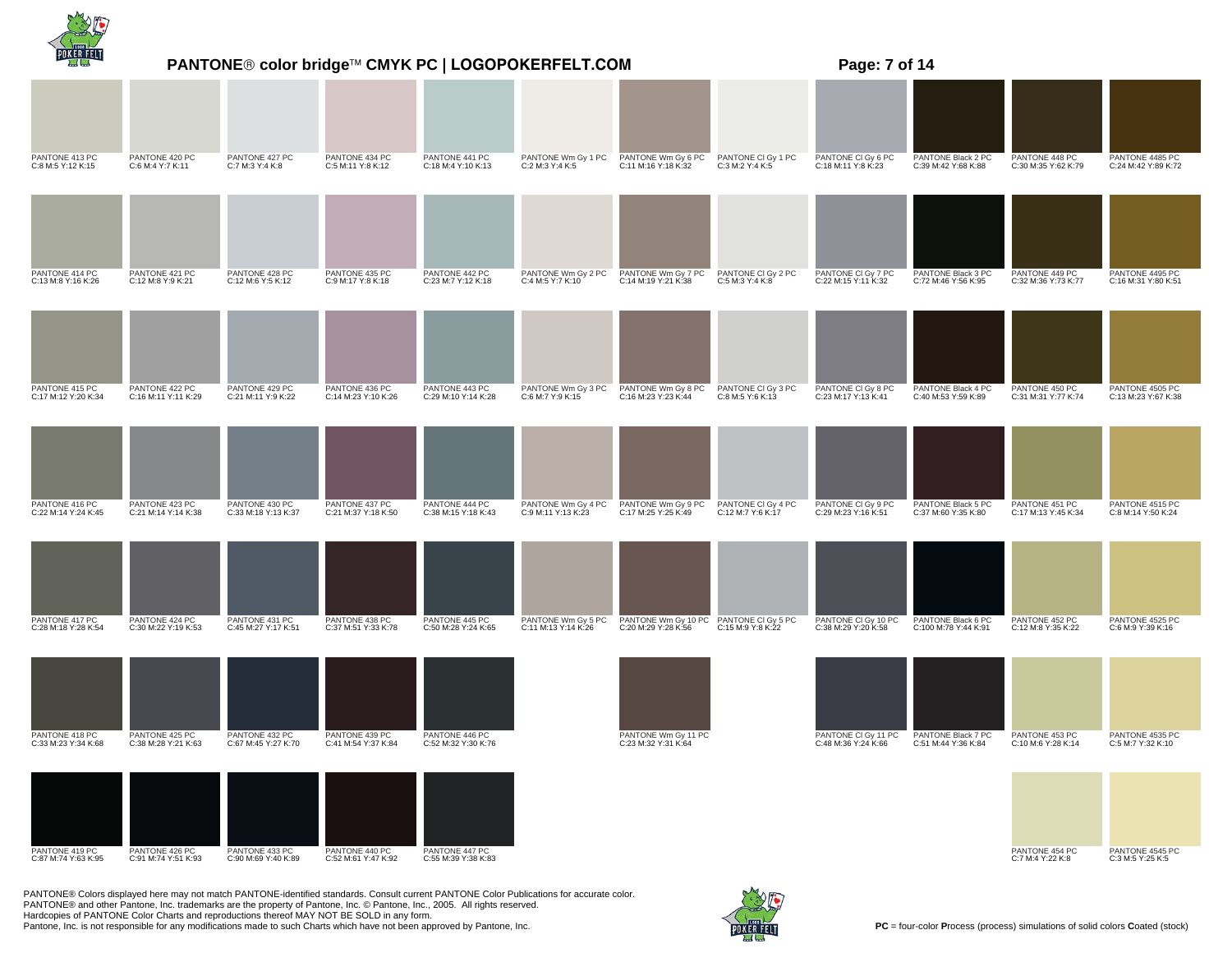|                                       | <b>PANTONE® color bridge™ CMYK PC   LOGOPOKERFELT.COM</b> | Page: 7 of 14                         |                                       |                                       |                                           |                                                               |                                         |                                            |                                            |                                       |                                        |
|---------------------------------------|-----------------------------------------------------------|---------------------------------------|---------------------------------------|---------------------------------------|-------------------------------------------|---------------------------------------------------------------|-----------------------------------------|--------------------------------------------|--------------------------------------------|---------------------------------------|----------------------------------------|
|                                       |                                                           |                                       |                                       |                                       |                                           |                                                               |                                         |                                            |                                            |                                       |                                        |
| PANTONE 413 PC<br>C:8 M:5 Y:12 K:15   | PANTONE 420 PC<br>C:6 M:4 Y:7 K:11                        | PANTONE 427 PC<br>C:7 M:3 Y:4 K:8     | PANTONE 434 PC<br>C:5 M:11 Y:8 K:12   | PANTONE 441 PC<br>C:18 M:4 Y:10 K:13  | PANTONE Wm Gy 1 PC<br>C:2 M:3 Y:4 K:5     | PANTONE Wm Gy 6 PC<br>C:11 M:16 Y:18 K:32                     | PANTONE CI Gy 1 PC<br>C:3 M:2 Y:4 K:5   | PANTONE CI Gy 6 PC<br>C:18 M:11 Y:8 K:23   | PANTONE Black 2 PC<br>C:39 M:42 Y:68 K:88  | PANTONE 448 PC<br>C:30 M:35 Y:62 K:79 | PANTONE 4485 PC<br>C:24 M:42 Y:89 K:72 |
|                                       |                                                           |                                       |                                       |                                       |                                           |                                                               |                                         |                                            |                                            |                                       |                                        |
| PANTONE 414 PC<br>C:13 M:8 Y:16 K:26  | PANTONE 421 PC<br>C:12 M:8 Y:9 K:21                       | PANTONE 428 PC<br>C:12 M:6 Y:5 K:12   | PANTONE 435 PC<br>C:9 M:17 Y:8 K:18   | PANTONE 442 PC<br>C:23 M:7 Y:12 K:18  | PANTONE Wm Gy 2 PC<br>C:4 M:5 Y:7 K:10    | PANTONE Wm Gy 7 PC<br>C:14 M:19 Y:21 K:38                     | PANTONE CI Gy 2 PC<br>C:5 M:3 Y:4 K:8   | PANTONE CI Gy 7 PC<br>C:22 M:15 Y:11 K:32  | PANTONE Black 3 PC<br>C:72 M:46 Y:56 K:95  | PANTONE 449 PC<br>C:32 M:36 Y:73 K:77 | PANTONE 4495 PC<br>C:16 M:31 Y:80 K:51 |
|                                       |                                                           |                                       |                                       |                                       |                                           |                                                               |                                         |                                            |                                            |                                       |                                        |
| PANTONE 415 PC<br>C:17 M:12 Y:20 K:34 | PANTONE 422 PC<br>C:16 M:11 Y:11 K:29                     | PANTONE 429 PC<br>C:21 M:11 Y:9 K:22  | PANTONE 436 PC<br>C:14 M:23 Y:10 K:26 | PANTONE 443 PC<br>C:29 M:10 Y:14 K:28 | PANTONE Wm Gy 3 PC<br>C:6 M:7 Y:9 K:15    | PANTONE Wm Gy 8 PC<br>C:16 M:23 Y:23 K:44                     | PANTONE CI Gy 3 PC<br>C:8 M:5 Y:6 K:13  | PANTONE CI Gy 8 PC<br>C:23 M:17 Y:13 K:41  | PANTONE Black 4 PC<br>C:40 M:53 Y:59 K:89  | PANTONE 450 PC<br>C:31 M:31 Y:77 K:74 | PANTONE 4505 PC<br>C:13 M:23 Y:67 K:38 |
|                                       |                                                           |                                       |                                       |                                       |                                           |                                                               |                                         |                                            |                                            |                                       |                                        |
| PANTONE 416 PC<br>C:22 M:14 Y:24 K:45 | PANTONE 423 PC<br>C:21 M:14 Y:14 K:38                     | PANTONE 430 PC<br>C:33 M:18 Y:13 K:37 | PANTONE 437 PC<br>C:21 M:37 Y:18 K:50 | PANTONE 444 PC<br>C:38 M:15 Y:18 K:43 | PANTONE Wm Gy 4 PC<br>C:9 M:11 Y:13 K:23  | PANTONE Wm Gy 9 PC<br>C:17 M:25 Y:25 K:49                     | PANTONE CI Gy 4 PC<br>C:12 M:7 Y:6 K:17 | PANTONE CI Gy 9 PC<br>C:29 M:23 Y:16 K:51  | PANTONE Black 5 PC<br>C:37 M:60 Y:35 K:80  | PANTONE 451 PC<br>C:17 M:13 Y:45 K:34 | PANTONE 4515 PC<br>C:8 M:14 Y:50 K:24  |
|                                       |                                                           |                                       |                                       |                                       |                                           |                                                               |                                         |                                            |                                            |                                       |                                        |
| PANTONE 417 PC<br>C:28 M:18 Y:28 K:54 | PANTONE 424 PC<br>C:30 M:22 Y:19 K:53                     | PANTONE 431 PC<br>C:45 M:27 Y:17 K:51 | PANTONE 438 PC<br>C:37 M:51 Y:33 K:78 | PANTONE 445 PC<br>C:50 M:28 Y:24 K:65 | PANTONE Wm Gy 5 PC<br>C:11 M:13 Y:14 K:26 | PANTONE Wm Gy 10 PC PANTONE CI Gy 5 PC<br>C:20 M:29 Y:28 K:56 | C:15 M:9 Y:8 K:22                       | PANTONE CI Gy 10 PC<br>C:38 M:29 Y:20 K:58 | PANTONE Black 6 PC<br>C:100 M:78 Y:44 K:91 | PANTONE 452 PC<br>C:12 M:8 Y:35 K:22  | PANTONE 4525 PC<br>C:6 M:9 Y:39 K:16   |
|                                       |                                                           |                                       |                                       |                                       |                                           |                                                               |                                         |                                            |                                            |                                       |                                        |
| PANTONE 418 PC<br>C:33 M:23 Y:34 K:68 | PANTONE 425 PC<br>C:38 M:28 Y:21 K:63                     | PANTONE 432 PC<br>C:67 M:45 Y:27 K:70 | PANTONE 439 PC<br>C:41 M:54 Y:37 K:84 | PANTONE 446 PC<br>C:52 M:32 Y:30 K:76 |                                           | PANTONE Wm Gy 11 PC<br>C:23 M:32 Y:31 K:64                    |                                         | PANTONE CI Gy 11 PC<br>C:48 M:36 Y:24 K:66 | PANTONE Black 7 PC<br>C:51 M:44 Y:36 K:84  | PANTONE 453 PC<br>C:10 M:6 Y:28 K:14  | PANTONE 4535 PC<br>C:5 M:7 Y:32 K:10   |
|                                       |                                                           |                                       |                                       |                                       |                                           |                                                               |                                         |                                            |                                            |                                       |                                        |
| PANTONE 419 PC<br>C:87 M:74 Y:63 K:95 | PANTONE 426 PC<br>C:91 M:74 Y:51 K:93                     | PANTONE 433 PC<br>C:90 M:69 Y:40 K:89 | PANTONE 440 PC<br>C:52 M:61 Y:47 K:92 | PANTONE 447 PC<br>C:55 M:39 Y:38 K:83 |                                           |                                                               |                                         |                                            |                                            | PANTONE 454 PC<br>C:7 M:4 Y:22 K:8    | PANTONE 4545 PC<br>C:3 M:5 Y:25 K:5    |

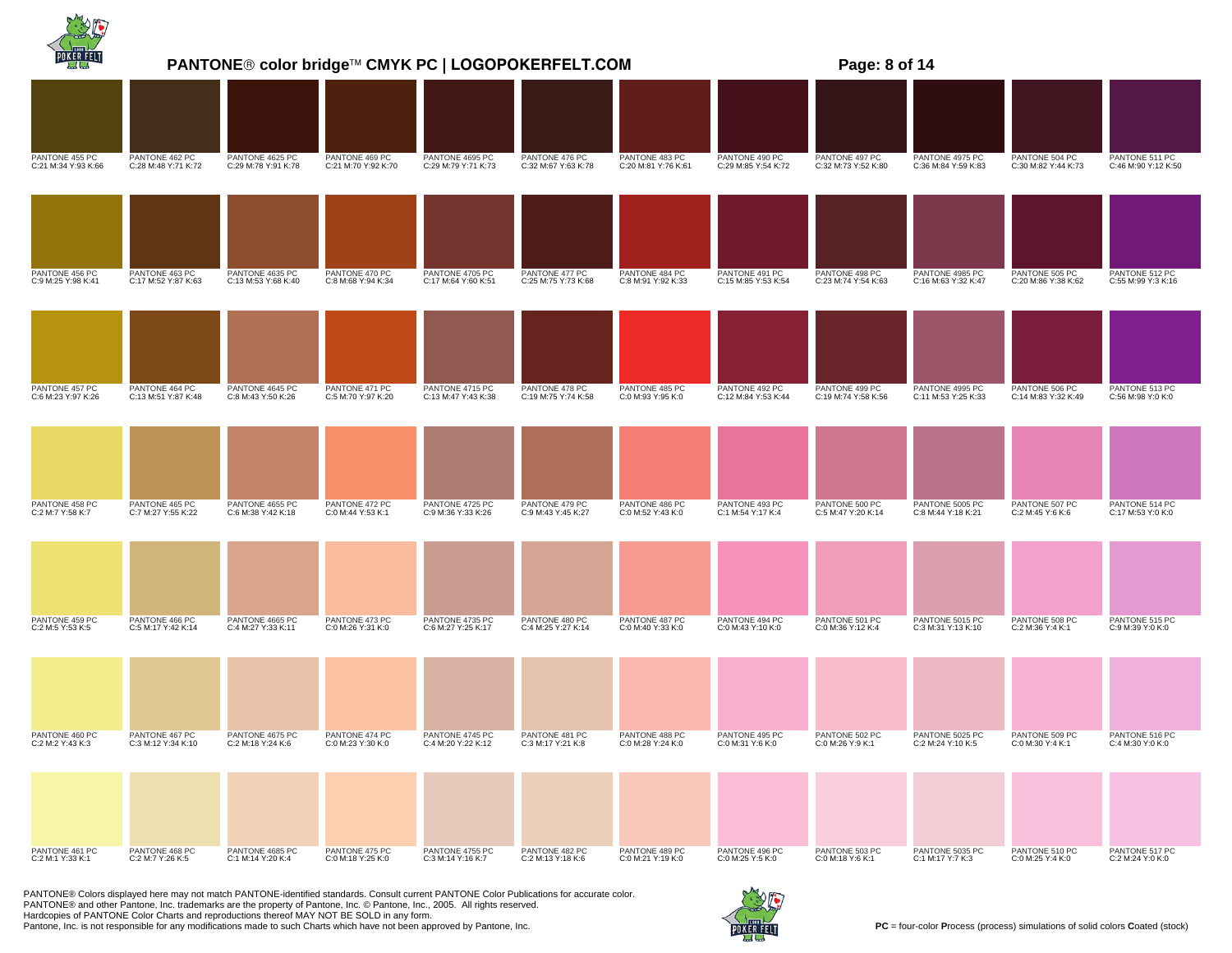|                                       |                                       |                                        | PANTONE® color bridge™ CMYK PC   LOGOPOKERFELT.COM |                                        | Page: 8 of 14                         |                                       |                                       |                                       |                                        |                                       |                                       |
|---------------------------------------|---------------------------------------|----------------------------------------|----------------------------------------------------|----------------------------------------|---------------------------------------|---------------------------------------|---------------------------------------|---------------------------------------|----------------------------------------|---------------------------------------|---------------------------------------|
|                                       |                                       |                                        |                                                    |                                        |                                       |                                       |                                       |                                       |                                        |                                       |                                       |
| PANTONE 455 PC<br>C:21 M:34 Y:93 K:66 | PANTONE 462 PC<br>C:28 M:48 Y:71 K:72 | PANTONE 4625 PC<br>C:29 M:78 Y:91 K:78 | PANTONE 469 PC<br>C:21 M:70 Y:92 K:70              | PANTONE 4695 PC<br>C:29 M:79 Y:71 K:73 | PANTONE 476 PC<br>C:32 M:67 Y:63 K:78 | PANTONE 483 PC<br>C:20 M:81 Y:76 K:61 | PANTONE 490 PC<br>C:29 M:85 Y:54 K:72 | PANTONE 497 PC<br>C:32 M:73 Y:52 K:80 | PANTONE 4975 PC<br>C:36 M:84 Y:59 K:83 | PANTONE 504 PC<br>C:30 M:82 Y:44 K:73 | PANTONE 511 PC<br>C:46 M:90 Y:12 K:50 |
|                                       |                                       |                                        |                                                    |                                        |                                       |                                       |                                       |                                       |                                        |                                       |                                       |
| PANTONE 456 PC<br>C:9 M:25 Y:98 K:41  | PANTONE 463 PC<br>C:17 M:52 Y:87 K:63 | PANTONE 4635 PC<br>C:13 M:53 Y:68 K:40 | PANTONE 470 PC<br>C:8 M:68 Y:94 K:34               | PANTONE 4705 PC<br>C:17 M:64 Y:60 K:51 | PANTONE 477 PC<br>C:25 M:75 Y:73 K:68 | PANTONE 484 PC<br>C:8 M:91 Y:92 K:33  | PANTONE 491 PC<br>C:15 M:85 Y:53 K:54 | PANTONE 498 PC<br>C:23 M:74 Y:54 K:63 | PANTONE 4985 PC<br>C:16 M:63 Y:32 K:47 | PANTONE 505 PC<br>C:20 M:86 Y:38 K:62 | PANTONE 512 PC<br>C:55 M:99 Y:3 K:16  |
|                                       |                                       |                                        |                                                    |                                        |                                       |                                       |                                       |                                       |                                        |                                       |                                       |
| PANTONE 457 PC<br>C:6 M:23 Y:97 K:26  | PANTONE 464 PC<br>C:13 M:51 Y:87 K:48 | PANTONE 4645 PC<br>C:8 M:43 Y:50 K:26  | PANTONE 471 PC<br>C:5 M:70 Y:97 K:20               | PANTONE 4715 PC<br>C:13 M:47 Y:43 K:38 | PANTONE 478 PC<br>C:19 M:75 Y:74 K:58 | PANTONE 485 PC<br>C:0 M:93 Y:95 K:0   | PANTONE 492 PC<br>C:12 M:84 Y:53 K:44 | PANTONE 499 PC<br>C:19 M:74 Y:58 K:56 | PANTONE 4995 PC<br>C:11 M:53 Y:25 K:33 | PANTONE 506 PC<br>C:14 M:83 Y:32 K:49 | PANTONE 513 PC<br>C:56 M:98 Y:0 K:0   |
|                                       |                                       |                                        |                                                    |                                        |                                       |                                       |                                       |                                       |                                        |                                       |                                       |
| PANTONE 458 PC<br>C:2 M:7 Y:58 K:7    | PANTONE 465 PC<br>C:7 M:27 Y:55 K:22  | PANTONE 4655 PC<br>C:6 M:38 Y:42 K:18  | PANTONE 472 PC<br>C:0 M:44 Y:53 K:1                | PANTONE 4725 PC<br>C:9 M:36 Y:33 K:26  | PANTONE 479 PC<br>C:9 M:43 Y:45 K:27  | PANTONE 486 PC<br>C:0 M:52 Y:43 K:0   | PANTONE 493 PC<br>C:1 M:54 Y:17 K:4   | PANTONE 500 PC<br>C:5 M:47 Y:20 K:14  | PANTONE 5005 PC<br>C:8 M:44 Y:18 K:21  | PANTONE 507 PC<br>C:2 M:45 Y:6 K:6    | PANTONE 514 PC<br>C:17 M:53 Y:0 K:0   |
|                                       |                                       |                                        |                                                    |                                        |                                       |                                       |                                       |                                       |                                        |                                       |                                       |
| PANTONE 459 PC<br>C:2 M:5 Y:53 K:5    | PANTONE 466 PC<br>C:5 M:17 Y:42 K:14  | PANTONE 4665 PC<br>C:4 M:27 Y:33 K:11  | PANTONE 473 PC<br>C:0 M:26 Y:31 K:0                | PANTONE 4735 PC<br>C:6 M:27 Y:25 K:17  | PANTONE 480 PC<br>C:4 M:25 Y:27 K:14  | PANTONE 487 PC<br>C:0 M:40 Y:33 K:0   | PANTONE 494 PC<br>C:0 M:43 Y:10 K:0   | PANTONE 501 PC<br>C:0 M:36 Y:12 K:4   | PANTONE 5015 PC<br>C:3 M:31 Y:13 K:10  | PANTONE 508 PC<br>C:2 M:36 Y:4 K:1    | PANTONE 515 PC<br>C:9 M:39 Y:0 K:0    |
|                                       |                                       |                                        |                                                    |                                        |                                       |                                       |                                       |                                       |                                        |                                       |                                       |
| PANTONE 460 PC<br>C:2 M:2 Y:43 K:3    | PANTONE 467 PC<br>C:3 M:12 Y:34 K:10  | PANTONE 4675 PC<br>C:2 M:18 Y:24 K:6   | PANTONE 474 PC<br>C:0 M:23 Y:30 K:0                | PANTONE 4745 PC<br>C:4 M:20 Y:22 K:12  | PANTONE 481 PC<br>C:3 M:17 Y:21 K:8   | PANTONE 488 PC<br>C:0 M:28 Y:24 K:0   | PANTONE 495 PC<br>C:0 M:31 Y:6 K:0    | PANTONE 502 PC<br>C:0 M:26 Y:9 K:1    | PANTONE 5025 PC<br>C:2 M:24 Y:10 K:5   | PANTONE 509 PC<br>C:0 M:30 Y:4 K:1    | PANTONE 516 PC<br>C:4 M:30 Y:0 K:0    |
|                                       |                                       |                                        |                                                    |                                        |                                       |                                       |                                       |                                       |                                        |                                       |                                       |
| PANTONE 461 PC<br>C:2 M:1 Y:33 K:1    | PANTONE 468 PC<br>C:2 M:7 Y:26 K:5    | PANTONE 4685 PC<br>C:1 M:14 Y:20 K:4   | PANTONE 475 PC<br>C:0 M:18 Y:25 K:0                | PANTONE 4755 PC<br>C:3 M:14 Y:16 K:7   | PANTONE 482 PC<br>C:2 M:13 Y:18 K:6   | PANTONE 489 PC<br>C:0 M:21 Y:19 K:0   | PANTONE 496 PC<br>C:0 M:25 Y:5 K:0    | PANTONE 503 PC<br>C:0 M:18 Y:6 K:1    | PANTONE 5035 PC<br>C:1 M:17 Y:7 K:3    | PANTONE 510 PC<br>C:0 M:25 Y:4 K:0    | PANTONE 517 PC<br>C:2 M:24 Y:0 K:0    |

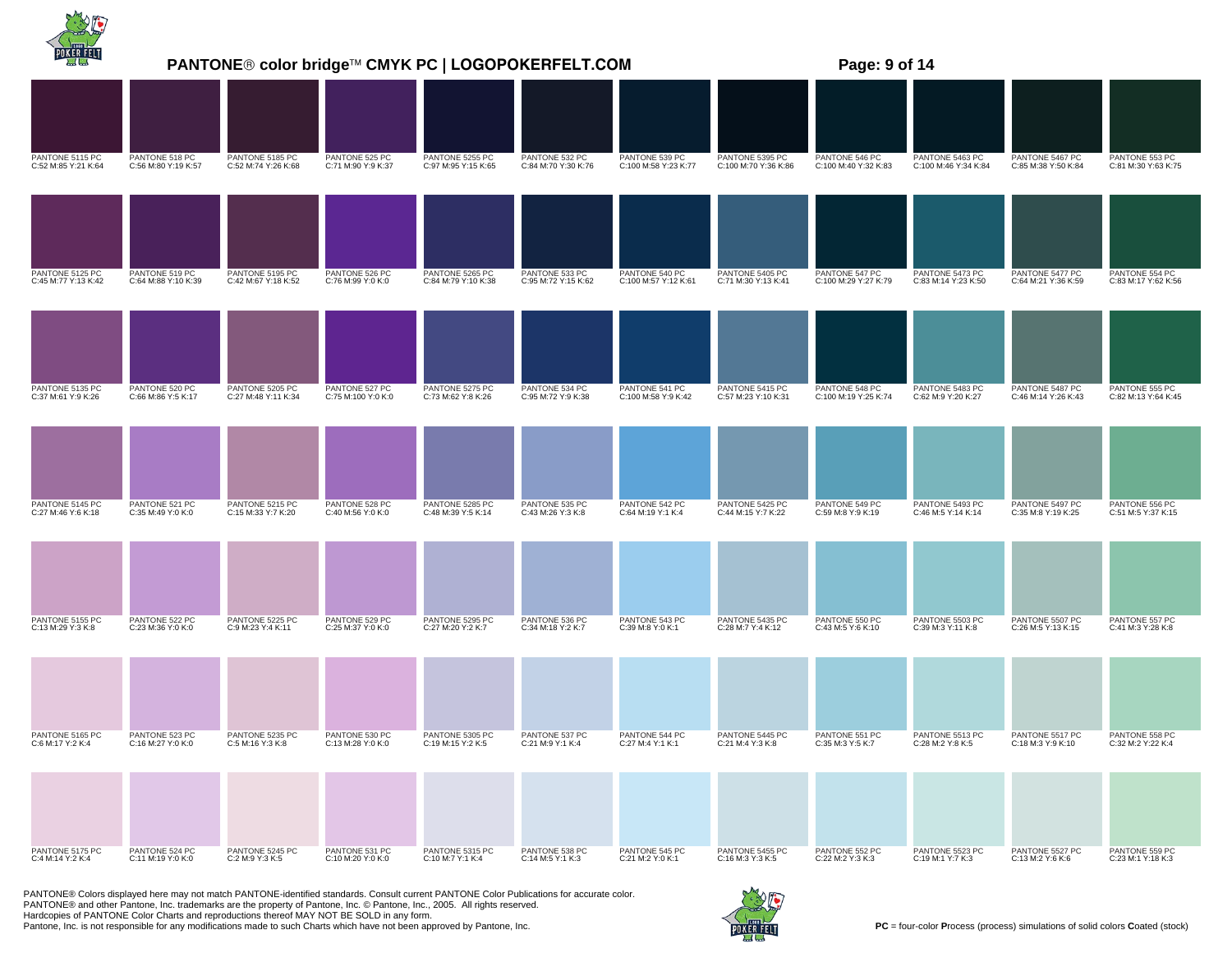|                                        |                                       |                                        |                                      | <b>PANTONE® color bridge™ CMYK PC   LOGOPOKERFELT.COM</b> |                                       |                                        |                                         | Page: 9 of 14                          |                                         |                                        |                                       |
|----------------------------------------|---------------------------------------|----------------------------------------|--------------------------------------|-----------------------------------------------------------|---------------------------------------|----------------------------------------|-----------------------------------------|----------------------------------------|-----------------------------------------|----------------------------------------|---------------------------------------|
|                                        |                                       |                                        |                                      |                                                           |                                       |                                        |                                         |                                        |                                         |                                        |                                       |
| PANTONE 5115 PC<br>C:52 M:85 Y:21 K:64 | PANTONE 518 PC<br>C:56 M:80 Y:19 K:57 | PANTONE 5185 PC<br>C:52 M:74 Y:26 K:68 | PANTONE 525 PC<br>C:71 M:90 Y:9 K:37 | PANTONE 5255 PC<br>C:97 M:95 Y:15 K:65                    | PANTONE 532 PC<br>C:84 M:70 Y:30 K:76 | PANTONE 539 PC<br>C:100 M:58 Y:23 K:77 | PANTONE 5395 PC<br>C:100 M:70 Y:36 K:86 | PANTONE 546 PC<br>C:100 M:40 Y:32 K:83 | PANTONE 5463 PC<br>C:100 M:46 Y:34 K:84 | PANTONE 5467 PC<br>C:85 M:38 Y:50 K:84 | PANTONE 553 PC<br>C:81 M:30 Y:63 K:75 |
|                                        |                                       |                                        |                                      |                                                           |                                       |                                        |                                         |                                        |                                         |                                        |                                       |
| PANTONE 5125 PC<br>C:45 M:77 Y:13 K:42 | PANTONE 519 PC<br>C:64 M:88 Y:10 K:39 | PANTONE 5195 PC<br>C:42 M:67 Y:18 K:52 | PANTONE 526 PC<br>C:76 M:99 Y:0 K:0  | PANTONE 5265 PC<br>C:84 M:79 Y:10 K:38                    | PANTONE 533 PC<br>C:95 M:72 Y:15 K:62 | PANTONE 540 PC<br>C:100 M:57 Y:12 K:61 | PANTONE 5405 PC<br>C:71 M:30 Y:13 K:41  | PANTONE 547 PC<br>C:100 M:29 Y:27 K:79 | PANTONE 5473 PC<br>C:83 M:14 Y:23 K:50  | PANTONE 5477 PC<br>C:64 M:21 Y:36 K:59 | PANTONE 554 PC<br>C:83 M:17 Y:62 K:56 |
|                                        |                                       |                                        |                                      |                                                           |                                       |                                        |                                         |                                        |                                         |                                        |                                       |
| PANTONE 5135 PC<br>C:37 M:61 Y:9 K:26  | PANTONE 520 PC<br>C:66 M:86 Y:5 K:17  | PANTONE 5205 PC<br>C:27 M:48 Y:11 K:34 | PANTONE 527 PC<br>C:75 M:100 Y:0 K:0 | PANTONE 5275 PC<br>C:73 M:62 Y:8 K:26                     | PANTONE 534 PC<br>C:95 M:72 Y:9 K:38  | PANTONE 541 PC<br>C:100 M:58 Y:9 K:42  | PANTONE 5415 PC<br>C:57 M:23 Y:10 K:31  | PANTONE 548 PC<br>C:100 M:19 Y:25 K:74 | PANTONE 5483 PC<br>C:62 M:9 Y:20 K:27   | PANTONE 5487 PC<br>C:46 M:14 Y:26 K:43 | PANTONE 555 PC<br>C:82 M:13 Y:64 K:45 |
| PANTONE 5145 PC<br>C:27 M:46 Y:6 K:18  | PANTONE 521 PC<br>C:35 M:49 Y:0 K:0   | PANTONE 5215 PC<br>C:15 M:33 Y:7 K:20  | PANTONE 528 PC<br>C:40 M:56 Y:0 K:0  | PANTONE 5285 PC<br>C:48 M:39 Y:5 K:14                     | PANTONE 535 PC<br>C:43 M:26 Y:3 K:8   | PANTONE 542 PC<br>C:64 M:19 Y:1 K:4    | PANTONE 5425 PC<br>C:44 M:15 Y:7 K:22   | PANTONE 549 PC<br>C:59 M:8 Y:9 K:19    | PANTONE 5493 PC<br>C:46 M:5 Y:14 K:14   | PANTONE 5497 PC<br>C:35 M:8 Y:19 K:25  | PANTONE 556 PC<br>C:51 M:5 Y:37 K:15  |
|                                        |                                       |                                        |                                      |                                                           |                                       |                                        |                                         |                                        |                                         |                                        |                                       |
| PANTONE 5155 PC<br>C:13 M:29 Y:3 K:8   | PANTONE 522 PC<br>C:23 M:36 Y:0 K:0   | PANTONE 5225 PC<br>C:9 M:23 Y:4 K:11   | PANTONE 529 PC<br>C:25 M:37 Y:0 K:0  | PANTONE 5295 PC<br>C:27 M:20 Y:2 K:7                      | PANTONE 536 PC<br>C:34 M:18 Y:2 K:7   | PANTONE 543 PC<br>C:39 M:8 Y:0 K:1     | PANTONE 5435 PC<br>C:28 M:7 Y:4 K:12    | PANTONE 550 PC<br>C:43 M:5 Y:6 K:10    | PANTONE 5503 PC<br>C:39 M:3 Y:11 K:8    | PANTONE 5507 PC<br>C:26 M:5 Y:13 K:15  | PANTONE 557 PC<br>C:41 M:3 Y:28 K:8   |
|                                        |                                       |                                        |                                      |                                                           |                                       |                                        |                                         |                                        |                                         |                                        |                                       |
| PANTONE 5165 PC<br>C:6 M:17 Y:2 K:4    | PANTONE 523 PC<br>C:16 M:27 Y:0 K:0   | PANTONE 5235 PC<br>C:5 M:16 Y:3 K:8    | PANTONE 530 PC<br>C:13 M:28 Y:0 K:0  | PANTONE 5305 PC<br>C:19 M:15 Y:2 K:5                      | PANTONE 537 PC<br>C:21 M:9 Y:1 K:4    | PANTONE 544 PC<br>C:27 M:4 Y:1 K:1     | PANTONE 5445 PC<br>C:21 M:4 Y:3 K:8     | PANTONE 551 PC<br>C:35 M:3 Y:5 K:7     | PANTONE 5513 PC<br>C:28 M:2 Y:8 K:5     | PANTONE 5517 PC<br>C:18 M:3 Y:9 K:10   | PANTONE 558 PC<br>C:32 M:2 Y:22 K:4   |
| PANTONE 5175 PC<br>C:4 M:14 Y:2 K:4    | PANTONE 524 PC<br>C:11 M:19 Y:0 K:0   | PANTONE 5245 PC<br>C:2 M:9 Y:3 K:5     | PANTONE 531 PC<br>C:10 M:20 Y:0 K:0  | PANTONE 5315 PC<br>C:10 M:7 Y:1 K:4                       | PANTONE 538 PC<br>C:14 M:5 Y:1 K:3    | PANTONE 545 PC<br>C:21 M:2 Y:0 K:1     | PANTONE 5455 PC<br>C:16 M:3 Y:3 K:5     | PANTONE 552 PC<br>C:22 M:2 Y:3 K:3     | PANTONE 5523 PC<br>C:19 M:1 Y:7 K:3     | PANTONE 5527 PC<br>C:13 M:2 Y:6 K:6    | PANTONE 559 PC<br>C:23 M:1 Y:18 K:3   |
|                                        |                                       |                                        |                                      |                                                           |                                       |                                        |                                         |                                        |                                         |                                        |                                       |

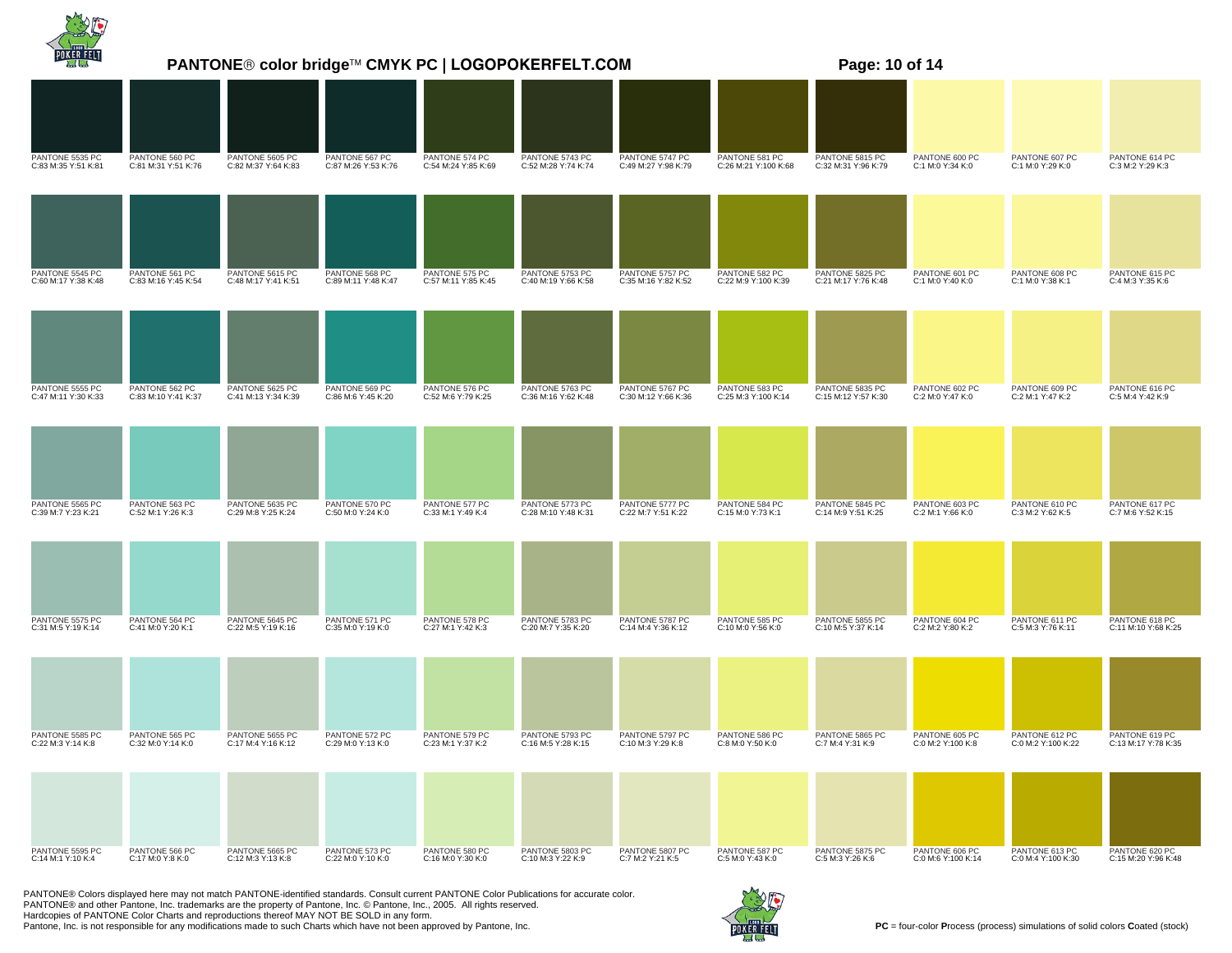|                                        |                                       | <b>PANTONE® color bridge™ CMYK PC   LOGOPOKERFELT.COM</b> |                                       |                                       |                                        |                                        |                                        | Page: 10 of 14                         |                                      |                                      |                                       |
|----------------------------------------|---------------------------------------|-----------------------------------------------------------|---------------------------------------|---------------------------------------|----------------------------------------|----------------------------------------|----------------------------------------|----------------------------------------|--------------------------------------|--------------------------------------|---------------------------------------|
|                                        |                                       |                                                           |                                       |                                       |                                        |                                        |                                        |                                        |                                      |                                      |                                       |
| PANTONE 5535 PC<br>C:83 M:35 Y:51 K:81 | PANTONE 560 PC<br>C:81 M:31 Y:51 K:76 | PANTONE 5605 PC<br>C:82 M:37 Y:64 K:83                    | PANTONE 567 PC<br>C:87 M:26 Y:53 K:76 | PANTONE 574 PC<br>C:54 M:24 Y:85 K:69 | PANTONE 5743 PC<br>C:52 M:28 Y:74 K:74 | PANTONE 5747 PC<br>C:49 M:27 Y:98 K:79 | PANTONE 581 PC<br>C:26 M:21 Y:100 K:68 | PANTONE 5815 PC<br>C:32 M:31 Y:96 K:79 | PANTONE 600 PC<br>C:1 M:0 Y:34 K:0   | PANTONE 607 PC<br>C:1 M:0 Y:29 K:0   | PANTONE 614 PC<br>C:3 M:2 Y:29 K:3    |
|                                        |                                       |                                                           |                                       |                                       |                                        |                                        |                                        |                                        |                                      |                                      |                                       |
| PANTONE 5545 PC<br>C:60 M:17 Y:38 K:48 | PANTONE 561 PC<br>C:83 M:16 Y:45 K:54 | PANTONE 5615 PC<br>C:48 M:17 Y:41 K:51                    | PANTONE 568 PC<br>C:89 M:11 Y:48 K:47 | PANTONE 575 PC<br>C:57 M:11 Y:85 K:45 | PANTONE 5753 PC<br>C:40 M:19 Y:66 K:58 | PANTONE 5757 PC<br>C:35 M:16 Y:82 K:52 | PANTONE 582 PC<br>C:22 M:9 Y:100 K:39  | PANTONE 5825 PC<br>C:21 M:17 Y:76 K:48 | PANTONE 601 PC<br>C:1 M:0 Y:40 K:0   | PANTONE 608 PC<br>C:1 M:0 Y:38 K:1   | PANTONE 615 PC<br>C:4 M:3 Y:35 K:6    |
|                                        |                                       |                                                           |                                       |                                       |                                        |                                        |                                        |                                        |                                      |                                      |                                       |
| PANTONE 5555 PC<br>C:47 M:11 Y:30 K:33 | PANTONE 562 PC<br>C:83 M:10 Y:41 K:37 | PANTONE 5625 PC<br>C:41 M:13 Y:34 K:39                    | PANTONE 569 PC<br>C:86 M:6 Y:45 K:20  | PANTONE 576 PC<br>C:52 M:6 Y:79 K:25  | PANTONE 5763 PC<br>C:36 M:16 Y:62 K:48 | PANTONE 5767 PC<br>C:30 M:12 Y:66 K:36 | PANTONE 583 PC<br>C:25 M:3 Y:100 K:14  | PANTONE 5835 PC<br>C:15 M:12 Y:57 K:30 | PANTONE 602 PC<br>C:2 M:0 Y:47 K:0   | PANTONE 609 PC<br>C:2 M:1 Y:47 K:2   | PANTONE 616 PC<br>C:5 M:4 Y:42 K:9    |
|                                        |                                       |                                                           |                                       |                                       |                                        |                                        |                                        |                                        |                                      |                                      |                                       |
| PANTONE 5565 PC<br>C:39 M:7 Y:23 K:21  | PANTONE 563 PC<br>C:52 M:1 Y:26 K:3   | PANTONE 5635 PC<br>C:29 M:8 Y:25 K:24                     | PANTONE 570 PC<br>C:50 M:0 Y:24 K:0   | PANTONE 577 PC<br>C:33 M:1 Y:49 K:4   | PANTONE 5773 PC<br>C:28 M:10 Y:48 K:31 | PANTONE 5777 PC<br>C:22 M:7 Y:51 K:22  | PANTONE 584 PC<br>C:15 M:0 Y:73 K:1    | PANTONE 5845 PC<br>C:14 M:9 Y:51 K:25  | PANTONE 603 PC<br>C:2 M:1 Y:66 K:0   | PANTONE 610 PC<br>C:3 M:2 Y:62 K:5   | PANTONE 617 PC<br>C:7 M:6 Y:52 K:15   |
|                                        |                                       |                                                           |                                       |                                       |                                        |                                        |                                        |                                        |                                      |                                      |                                       |
| PANTONE 5575 PC<br>C:31 M:5 Y:19 K:14  | PANTONE 564 PC<br>C:41 M:0 Y:20 K:1   | PANTONE 5645 PC<br>C:22 M:5 Y:19 K:16                     | PANTONE 571 PC<br>C:35 M:0 Y:19 K:0   | PANTONE 578 PC<br>C:27 M:1 Y:42 K:3   | PANTONE 5783 PC<br>C:20 M:7 Y:35 K:20  | PANTONE 5787 PC<br>C:14 M:4 Y:36 K:12  | PANTONE 585 PC<br>C:10 M:0 Y:56 K:0    | PANTONE 5855 PC<br>C:10 M:5 Y:37 K:14  | PANTONE 604 PC<br>C:2 M:2 Y:80 K:2   | PANTONE 611 PC<br>C:5 M:3 Y:76 K:11  | PANTONE 618 PC<br>C:11 M:10 Y:68 K:25 |
|                                        |                                       |                                                           |                                       |                                       |                                        |                                        |                                        |                                        |                                      |                                      |                                       |
| PANTONE 5585 PC<br>C:22 M:3 Y:14 K:8   | PANTONE 565 PC<br>C:32 M:0 Y:14 K:0   | PANTONE 5655 PC<br>C:17 M:4 Y:16 K:12                     | PANTONE 572 PC<br>C:29 M:0 Y:13 K:0   | PANTONE 579 PC<br>C:23 M:1 Y:37 K:2   | PANTONE 5793 PC<br>C:16 M:5 Y:28 K:15  | PANTONE 5797 PC<br>C:10 M:3 Y:29 K:8   | PANTONE 586 PC<br>C:8 M:0 Y:50 K:0     | PANTONE 5865 PC<br>C:7 M:4 Y:31 K:9    | PANTONE 605 PC<br>C:0 M:2 Y:100 K:8  | PANTONE 612 PC<br>C:0 M:2 Y:100 K:22 | PANTONE 619 PC<br>C:13 M:17 Y:78 K:35 |
|                                        |                                       |                                                           |                                       |                                       |                                        | PANTONE 5807 PC                        | PANTONE 587 PC                         |                                        |                                      |                                      | PANTONE 620 PC                        |
| PANTONE 5595 PC<br>C:14 M:1 Y:10 K:4   | PANTONE 566 PC<br>C:17 M:0 Y:8 K:0    | PANTONE 5665 PC<br>C:12 M:3 Y:13 K:8                      | PANTONE 573 PC<br>C:22 M:0 Y:10 K:0   | PANTONE 580 PC<br>C:16 M:0 Y:30 K:0   | PANTONE 5803 PC<br>C:10 M:3 Y:22 K:9   | C:7 M:2 Y:21 K:5                       | C:5 M:0 Y:43 K:0                       | PANTONE 5875 PC<br>C:5 M:3 Y:26 K:6    | PANTONE 606 PC<br>C:0 M:6 Y:100 K:14 | PANTONE 613 PC<br>C:0 M:4 Y:100 K:30 | C:15 M:20 Y:96 K:48                   |

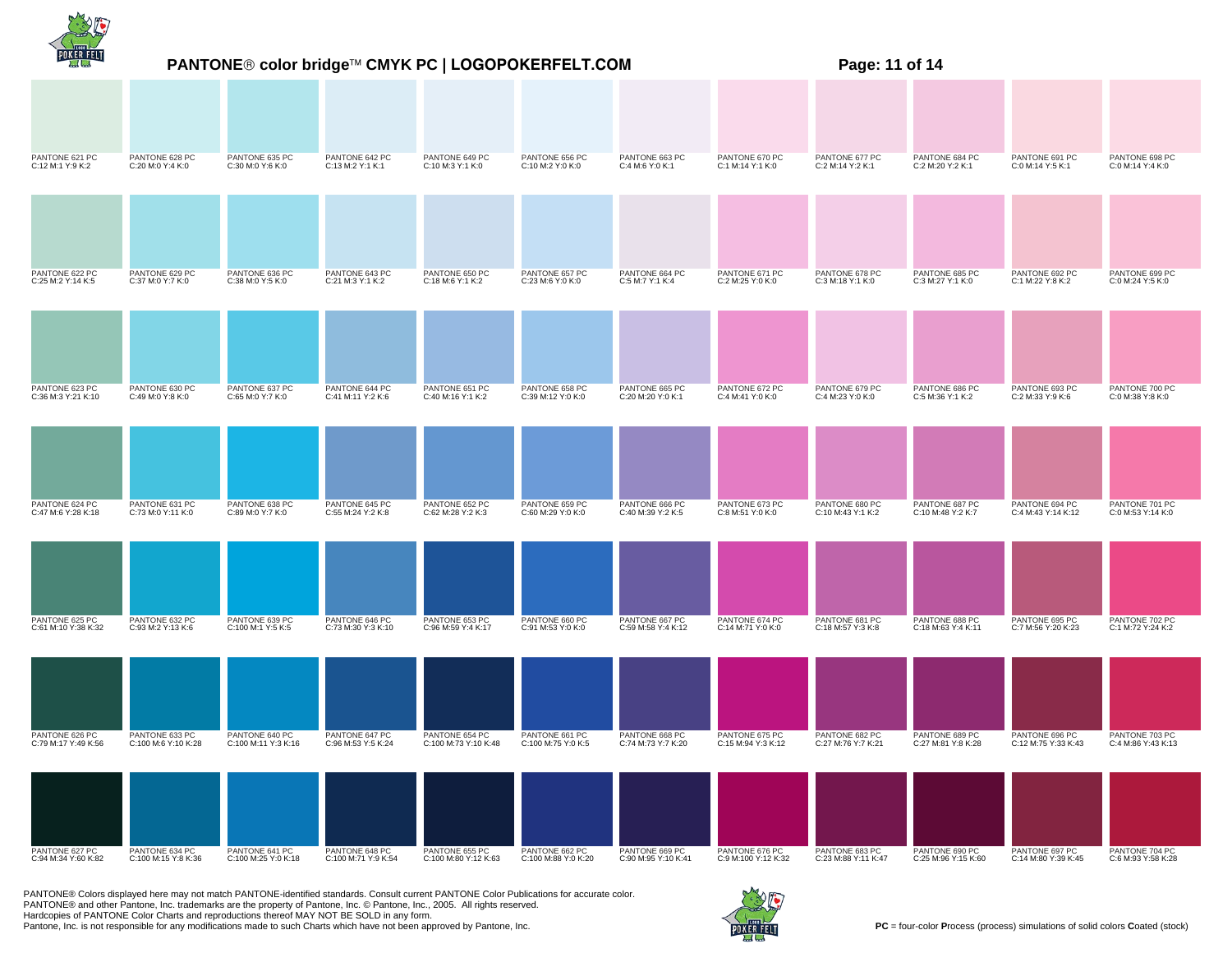|                                       | PANTONE® color bridge™ CMYK PC   LOGOPOKERFELT.COM<br>Page: 11 of 14 |                                       |                                       |                                        |                                       |                                       |                                       |                                       |                                       |                                       |                                      |  |
|---------------------------------------|----------------------------------------------------------------------|---------------------------------------|---------------------------------------|----------------------------------------|---------------------------------------|---------------------------------------|---------------------------------------|---------------------------------------|---------------------------------------|---------------------------------------|--------------------------------------|--|
|                                       |                                                                      |                                       |                                       |                                        |                                       |                                       |                                       |                                       |                                       |                                       |                                      |  |
| PANTONE 621 PC<br>C:12 M:1 Y:9 K:2    | PANTONE 628 PC<br>C:20 M:0 Y:4 K:0                                   | PANTONE 635 PC<br>C:30 M:0 Y:6 K:0    | PANTONE 642 PC<br>C:13 M:2 Y:1 K:1    | PANTONE 649 PC<br>C:10 M:3 Y:1 K:0     | PANTONE 656 PC<br>C:10 M:2 Y:0 K:0    | PANTONE 663 PC<br>C:4 M:6 Y:0 K:1     | PANTONE 670 PC<br>C:1 M:14 Y:1 K:0    | PANTONE 677 PC<br>C:2 M:14 Y:2 K:1    | PANTONE 684 PC<br>C:2 M:20 Y:2 K:1    | PANTONE 691 PC<br>C:0 M:14 Y:5 K:1    | PANTONE 698 PC<br>C:0 M:14 Y:4 K:0   |  |
|                                       |                                                                      |                                       |                                       |                                        |                                       |                                       |                                       |                                       |                                       |                                       |                                      |  |
| PANTONE 622 PC<br>C:25 M:2 Y:14 K:5   | PANTONE 629 PC<br>C:37 M:0 Y:7 K:0                                   | PANTONE 636 PC<br>C:38 M:0 Y:5 K:0    | PANTONE 643 PC<br>C:21 M:3 Y:1 K:2    | PANTONE 650 PC<br>C:18 M:6 Y:1 K:2     | PANTONE 657 PC<br>C:23 M:6 Y:0 K:0    | PANTONE 664 PC<br>C:5 M:7 Y:1 K:4     | PANTONE 671 PC<br>C:2 M:25 Y:0 K:0    | PANTONE 678 PC<br>C:3 M:18 Y:1 K:0    | PANTONE 685 PC<br>C:3 M:27 Y:1 K:0    | PANTONE 692 PC<br>C:1 M:22 Y:8 K:2    | PANTONE 699 PC<br>C:0 M:24 Y:5 K:0   |  |
|                                       |                                                                      |                                       |                                       |                                        |                                       |                                       |                                       |                                       |                                       |                                       |                                      |  |
| PANTONE 623 PC<br>C:36 M:3 Y:21 K:10  | PANTONE 630 PC<br>C:49 M:0 Y:8 K:0                                   | PANTONE 637 PC<br>C:65 M:0 Y:7 K:0    | PANTONE 644 PC<br>C:41 M:11 Y:2 K:6   | PANTONE 651 PC<br>C:40 M:16 Y:1 K:2    | PANTONE 658 PC<br>C:39 M:12 Y:0 K:0   | PANTONE 665 PC<br>C:20 M:20 Y:0 K:1   | PANTONE 672 PC<br>C:4 M:41 Y:0 K:0    | PANTONE 679 PC<br>C:4 M:23 Y:0 K:0    | PANTONE 686 PC<br>C:5 M:36 Y:1 K:2    | PANTONE 693 PC<br>C:2 M:33 Y:9 K:6    | PANTONE 700 PC<br>C:0 M:38 Y:8 K:0   |  |
|                                       |                                                                      |                                       |                                       |                                        |                                       |                                       |                                       |                                       |                                       |                                       |                                      |  |
| PANTONE 624 PC<br>C:47 M:6 Y:28 K:18  | PANTONE 631 PC<br>C:73 M:0 Y:11 K:0                                  | PANTONE 638 PC<br>C:89 M:0 Y:7 K:0    | PANTONE 645 PC<br>C:55 M:24 Y:2 K:8   | PANTONE 652 PC<br>C:62 M:28 Y:2 K:3    | PANTONE 659 PC<br>C:60 M:29 Y:0 K:0   | PANTONE 666 PC<br>C:40 M:39 Y:2 K:5   | PANTONE 673 PC<br>C:8 M:51 Y:0 K:0    | PANTONE 680 PC<br>C:10 M:43 Y:1 K:2   | PANTONE 687 PC<br>C:10 M:48 Y:2 K:7   | PANTONE 694 PC<br>C:4 M:43 Y:14 K:12  | PANTONE 701 PC<br>C:0 M:53 Y:14 K:0  |  |
|                                       |                                                                      |                                       |                                       |                                        |                                       |                                       |                                       |                                       |                                       |                                       |                                      |  |
| PANTONE 625 PC<br>C:61 M:10 Y:38 K:32 | PANTONE 632 PC<br>C:93 M:2 Y:13 K:6                                  | PANTONE 639 PC<br>C:100 M:1 Y:5 K:5   | PANTONE 646 PC<br>C:73 M:30 Y:3 K:10  | PANTONE 653 PC<br>C:96 M:59 Y:4 K:17   | PANTONE 660 PC<br>C:91 M:53 Y:0 K:0   | PANTONE 667 PC<br>C:59 M:58 Y:4 K:12  | PANTONE 674 PC<br>C:14 M:71 Y:0 K:0   | PANTONE 681 PC<br>C:18 M:57 Y:3 K:8   | PANTONE 688 PC<br>C:18 M:63 Y:4 K:11  | PANTONE 695 PC<br>C:7 M:56 Y:20 K:23  | PANTONE 702 PC<br>C:1 M:72 Y:24 K:2  |  |
|                                       |                                                                      |                                       |                                       |                                        |                                       |                                       |                                       |                                       |                                       |                                       |                                      |  |
| PANTONE 626 PC<br>C:79 M:17 Y:49 K:56 | PANTONE 633 PC<br>C:100 M:6 Y:10 K:28                                | PANTONE 640 PC<br>C:100 M:11 Y:3 K:16 | PANTONE 647 PC<br>C:96 M:53 Y:5 K:24  | PANTONE 654 PC<br>C:100 M:73 Y:10 K:48 | PANTONE 661 PC<br>C:100 M:75 Y:0 K:5  | PANTONE 668 PC<br>C:74 M:73 Y:7 K:20  | PANTONE 675 PC<br>C:15 M:94 Y:3 K:12  | PANTONE 682 PC<br>C:27 M:76 Y:7 K:21  | PANTONE 689 PC<br>C:27 M:81 Y:8 K:28  | PANTONE 696 PC<br>C:12 M:75 Y:33 K:43 | PANTONE 703 PC<br>C:4 M:86 Y:43 K:13 |  |
|                                       |                                                                      |                                       |                                       |                                        |                                       |                                       |                                       |                                       |                                       |                                       |                                      |  |
| PANTONE 627 PC<br>C:94 M:34 Y:60 K:82 | PANTONE 634 PC<br>C:100 M:15 Y:8 K:36                                | PANTONE 641 PC<br>C:100 M:25 Y:0 K:18 | PANTONE 648 PC<br>C:100 M:71 Y:9 K:54 | PANTONE 655 PC<br>C:100 M:80 Y:12 K:63 | PANTONE 662 PC<br>C:100 M:88 Y:0 K:20 | PANTONE 669 PC<br>C:90 M:95 Y:10 K:41 | PANTONE 676 PC<br>C:9 M:100 Y:12 K:32 | PANTONE 683 PC<br>C:23 M:88 Y:11 K:47 | PANTONE 690 PC<br>C:25 M:96 Y:15 K:60 | PANTONE 697 PC<br>C:14 M:80 Y:39 K:45 | PANTONE 704 PC<br>C:6 M:93 Y:58 K:28 |  |

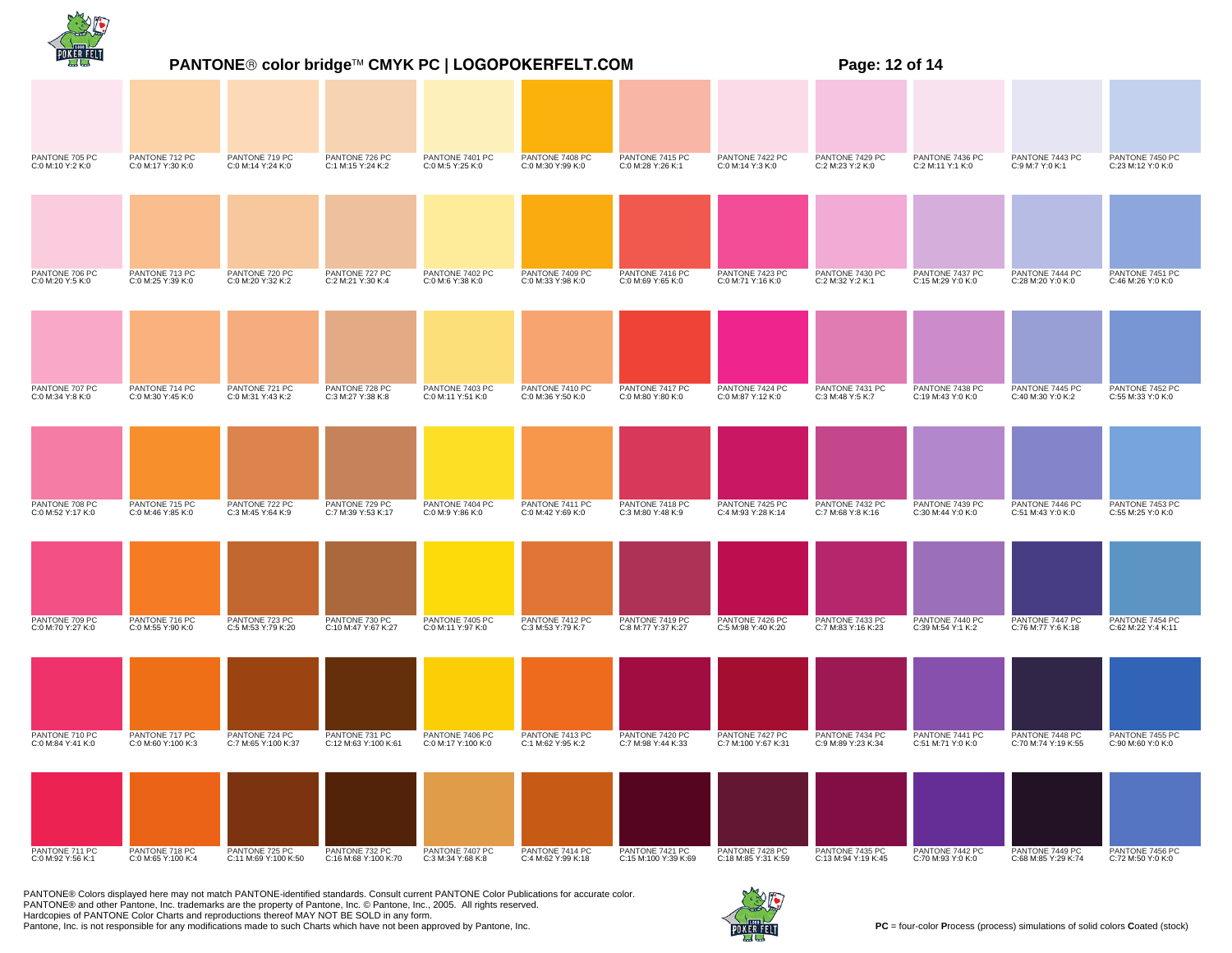|                                     |                                      | <b>PANTONE® color bridge™ CMYK PC   LOGOPOKERFELT.COM</b> |                                        | Page: 12 of 14                        |                                       |                                         |                                        |                                        |                                      |                                        |                                       |
|-------------------------------------|--------------------------------------|-----------------------------------------------------------|----------------------------------------|---------------------------------------|---------------------------------------|-----------------------------------------|----------------------------------------|----------------------------------------|--------------------------------------|----------------------------------------|---------------------------------------|
|                                     |                                      |                                                           |                                        |                                       |                                       |                                         |                                        |                                        |                                      |                                        |                                       |
| PANTONE 705 PC<br>C:0 M:10 Y:2 K:0  | PANTONE 712 PC<br>C:0 M:17 Y:30 K:0  | PANTONE 719 PC<br>C:0 M:14 Y:24 K:0                       | PANTONE 726 PC<br>C:1 M:15 Y:24 K:2    | PANTONE 7401 PC<br>C:0 M:5 Y:25 K:0   | PANTONE 7408 PC<br>C:0 M:30 Y:99 K:0  | PANTONE 7415 PC<br>C:0 M:28 Y:26 K:1    | PANTONE 7422 PC<br>C:0 M:14 Y:3 K:0    | PANTONE 7429 PC<br>C:2 M:23 Y:2 K:0    | PANTONE 7436 PC<br>C:2 M:11 Y:1 K:0  | PANTONE 7443 PC<br>C:9 M:7 Y:0 K:1     | PANTONE 7450 PC<br>C:23 M:12 Y:0 K:0  |
|                                     |                                      |                                                           |                                        |                                       |                                       |                                         |                                        |                                        |                                      |                                        |                                       |
| PANTONE 706 PC<br>C:0 M:20 Y:5 K:0  | PANTONE 713 PC<br>C:0 M:25 Y:39 K:0  | PANTONE 720 PC<br>C:0 M:20 Y:32 K:2                       | PANTONE 727 PC<br>C:2 M:21 Y:30 K:4    | PANTONE 7402 PC<br>C:0 M:6 Y:38 K:0   | PANTONE 7409 PC<br>C:0 M:33 Y:98 K:0  | PANTONE 7416 PC<br>C:0 M:69 Y:65 K:0    | PANTONE 7423 PC<br>C:0 M:71 Y:16 K:0   | PANTONE 7430 PC<br>C:2 M:32 Y:2 K:1    | PANTONE 7437 PC<br>C:15 M:29 Y:0 K:0 | PANTONE 7444 PC<br>C:28 M:20 Y:0 K:0   | PANTONE 7451 PC<br>C:46 M:26 Y:0 K:0  |
|                                     |                                      |                                                           |                                        |                                       |                                       |                                         |                                        |                                        |                                      |                                        |                                       |
| PANTONE 707 PC<br>C:0 M:34 Y:8 K:0  | PANTONE 714 PC<br>C:0 M:30 Y:45 K:0  | PANTONE 721 PC<br>C:0 M:31 Y:43 K:2                       | PANTONE 728 PC<br>C:3 M:27 Y:38 K:8    | PANTONE 7403 PC<br>C:0 M:11 Y:51 K:0  | PANTONE 7410 PC<br>C:0 M:36 Y:50 K:0  | PANTONE 7417 PC<br>C:0 M:80 Y:80 K:0    | PANTONE 7424 PC<br>C:0 M:87 Y:12 K:0   | PANTONE 7431 PC<br>C:3 M:48 Y:5 K:7    | PANTONE 7438 PC<br>C:19 M:43 Y:0 K:0 | PANTONE 7445 PC<br>C:40 M:30 Y:0 K:2   | PANTONE 7452 PC<br>C:55 M:33 Y:0 K:0  |
|                                     |                                      |                                                           |                                        |                                       |                                       |                                         |                                        |                                        |                                      |                                        |                                       |
| PANTONE 708 PC<br>C:0 M:52 Y:17 K:0 | PANTONE 715 PC<br>C:0 M:46 Y:85 K:0  | PANTONE 722 PC<br>C:3 M:45 Y:64 K:9                       | PANTONE 729 PC<br>C:7 M:39 Y:53 K:17   | PANTONE 7404 PC<br>C:0 M:9 Y:86 K:0   | PANTONE 7411 PC<br>C:0 M:42 Y:69 K:0  | PANTONE 7418 PC<br>C:3 M:80 Y:48 K:9    | PANTONE 7425 PC<br>C:4 M:93 Y:28 K:14  | PANTONE 7432 PC<br>C:7 M:68 Y:8 K:16   | PANTONE 7439 PC<br>C:30 M:44 Y:0 K:0 | PANTONE 7446 PC<br>C:51 M:43 Y:0 K:0   | PANTONE 7453 PC<br>C:55 M:25 Y:0 K:0  |
|                                     |                                      |                                                           |                                        |                                       |                                       |                                         |                                        |                                        |                                      |                                        |                                       |
| PANTONE 709 PC<br>C:0 M:70 Y:27 K:0 | PANTONE 716 PC<br>C:0 M:55 Y:90 K:0  | PANTONE 723 PC<br>C:5 M:53 Y:79 K:20                      | PANTONE 730 PC<br>C:10 M:47 Y:67 K:27  | PANTONE 7405 PC<br>C:0 M:11 Y:97 K:0  | PANTONE 7412 PC<br>C:3 M:53 Y:79 K:7  | PANTONE 7419 PC<br>C:8 M:77 Y:37 K:27   | PANTONE 7426 PC<br>C:5 M:98 Y:40 K:20  | PANTONE 7433 PC<br>C:7 M:83 Y:16 K:23  | PANTONE 7440 PC<br>C:39 M:54 Y:1 K:2 | PANTONE 7447 PC<br>C:76 M:77 Y:6 K:18  | PANTONE 7454 PC<br>C:62 M:22 Y:4 K:11 |
|                                     |                                      |                                                           |                                        |                                       |                                       |                                         |                                        |                                        |                                      |                                        |                                       |
| PANTONE 710 PC<br>C:0 M:84 Y:41 K:0 | PANTONE 717 PC<br>C:0 M:60 Y:100 K:3 | PANTONE 724 PC<br>C:7 M:65 Y:100 K:37                     | PANTONE 731 PC<br>C:12 M:63 Y:100 K:61 | PANTONE 7406 PC<br>C:0 M:17 Y:100 K:0 | PANTONE 7413 PC<br>C:1 M:62 Y:95 K:2  | PANTONE 7420 PC<br>C:7 M:98 Y:44 K:33   | PANTONE 7427 PC<br>C:7 M:100 Y:67 K:31 | PANTONE 7434 PC<br>C:9 M:89 Y:23 K:34  | PANTONE 7441 PC<br>C:51 M:71 Y:0 K:0 | PANTONE 7448 PC<br>C:70 M:74 Y:19 K:55 | PANTONE 7455 PC<br>C:90 M:60 Y:0 K:0  |
|                                     |                                      |                                                           |                                        |                                       |                                       |                                         |                                        |                                        |                                      |                                        |                                       |
| PANTONE 711 PC<br>C:0 M:92 Y:56 K:1 | PANTONE 718 PC<br>C:0 M:65 Y:100 K:4 | PANTONE 725 PC<br>C:11 M:69 Y:100 K:50                    | PANTONE 732 PC<br>C:16 M:68 Y:100 K:70 | PANTONE 7407 PC<br>C:3 M:34 Y:68 K:8  | PANTONE 7414 PC<br>C:4 M:62 Y:99 K:18 | PANTONE 7421 PC<br>C:15 M:100 Y:39 K:69 | PANTONE 7428 PC<br>C:18 M:85 Y:31 K:59 | PANTONE 7435 PC<br>C:13 M:94 Y:19 K:45 | PANTONE 7442 PC<br>C:70 M:93 Y:0 K:0 | PANTONE 7449 PC<br>C:68 M:85 Y:29 K:74 | PANTONE 7456 PC<br>C:72 M:50 Y:0 K:0  |

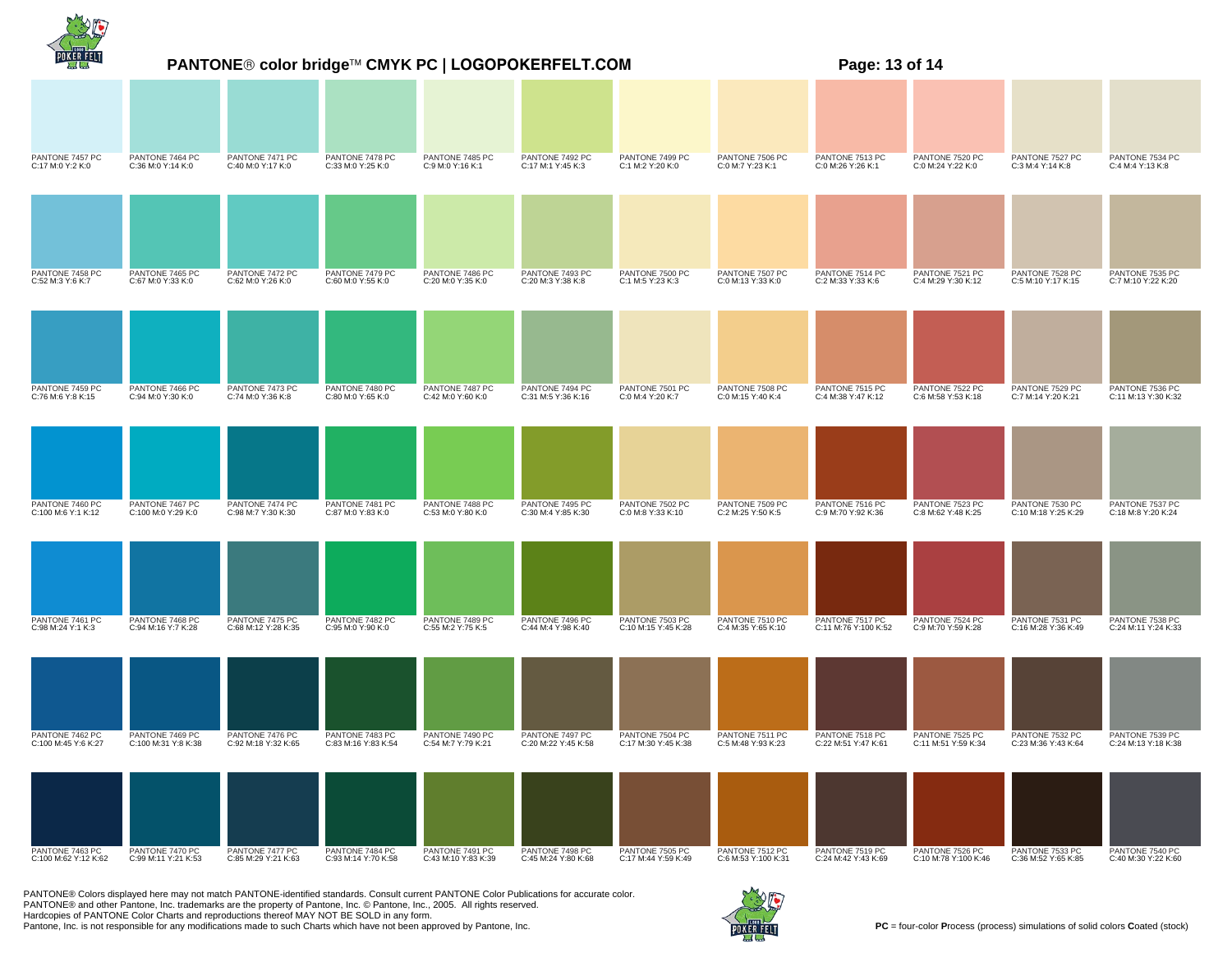|                                         | PANTONE® color bridge™ CMYK PC   LOGOPOKERFELT.COM |                                        |                                        |                                        |                                        |                                        | Page: 13 of 14                         |                                         |                                         |                                        |                                        |
|-----------------------------------------|----------------------------------------------------|----------------------------------------|----------------------------------------|----------------------------------------|----------------------------------------|----------------------------------------|----------------------------------------|-----------------------------------------|-----------------------------------------|----------------------------------------|----------------------------------------|
|                                         |                                                    |                                        |                                        |                                        |                                        |                                        |                                        |                                         |                                         |                                        |                                        |
| PANTONE 7457 PC<br>C:17 M:0 Y:2 K:0     | PANTONE 7464 PC<br>C:36 M:0 Y:14 K:0               | PANTONE 7471 PC<br>C:40 M:0 Y:17 K:0   | PANTONE 7478 PC<br>C:33 M:0 Y:25 K:0   | PANTONE 7485 PC<br>C:9 M:0 Y:16 K:1    | PANTONE 7492 PC<br>C:17 M:1 Y:45 K:3   | PANTONE 7499 PC<br>C:1 M:2 Y:20 K:0    | PANTONE 7506 PC<br>C:0 M:7 Y:23 K:1    | PANTONE 7513 PC<br>C:0 M:26 Y:26 K:1    | PANTONE 7520 PC<br>C:0 M:24 Y:22 K:0    | PANTONE 7527 PC<br>C:3 M:4 Y:14 K:8    | PANTONE 7534 PC<br>C:4 M:4 Y:13 K:8    |
|                                         |                                                    |                                        |                                        |                                        |                                        |                                        |                                        |                                         |                                         |                                        |                                        |
| PANTONE 7458 PC<br>C:52 M:3 Y:6 K:7     | PANTONE 7465 PC<br>C:67 M:0 Y:33 K:0               | PANTONE 7472 PC<br>C:62 M:0 Y:26 K:0   | PANTONE 7479 PC<br>C:60 M:0 Y:55 K:0   | PANTONE 7486 PC<br>C:20 M:0 Y:35 K:0   | PANTONE 7493 PC<br>C:20 M:3 Y:38 K:8   | PANTONE 7500 PC<br>C:1 M:5 Y:23 K:3    | PANTONE 7507 PC<br>C:0 M:13 Y:33 K:0   | PANTONE 7514 PC<br>C:2 M:33 Y:33 K:6    | PANTONE 7521 PC<br>C:4 M:29 Y:30 K:12   | PANTONE 7528 PC<br>C:5 M:10 Y:17 K:15  | PANTONE 7535 PC<br>C:7 M:10 Y:22 K:20  |
|                                         |                                                    |                                        |                                        |                                        |                                        |                                        |                                        |                                         |                                         |                                        |                                        |
| PANTONE 7459 PC<br>C:76 M:6 Y:8 K:15    | PANTONE 7466 PC<br>C:94 M:0 Y:30 K:0               | PANTONE 7473 PC<br>C:74 M:0 Y:36 K:8   | PANTONE 7480 PC<br>C:80 M:0 Y:65 K:0   | PANTONE 7487 PC<br>C:42 M:0 Y:60 K:0   | PANTONE 7494 PC<br>C:31 M:5 Y:36 K:16  | PANTONE 7501 PC<br>C:0 M:4 Y:20 K:7    | PANTONE 7508 PC<br>C:0 M:15 Y:40 K:4   | PANTONE 7515 PC<br>C:4 M:38 Y:47 K:12   | PANTONE 7522 PC<br>C:6 M:58 Y:53 K:18   | PANTONE 7529 PC<br>C:7 M:14 Y:20 K:21  | PANTONE 7536 PC<br>C:11 M:13 Y:30 K:32 |
|                                         |                                                    |                                        |                                        |                                        |                                        |                                        |                                        |                                         |                                         |                                        |                                        |
| PANTONE 7460 PC<br>C:100 M:6 Y:1 K:12   | PANTONE 7467 PC<br>C:100 M:0 Y:29 K:0              | PANTONE 7474 PC<br>C:98 M:7 Y:30 K:30  | PANTONE 7481 PC<br>C:87 M:0 Y:83 K:0   | PANTONE 7488 PC<br>C:53 M:0 Y:80 K:0   | PANTONE 7495 PC<br>C:30 M:4 Y:85 K:30  | PANTONE 7502 PC<br>C:0 M:8 Y:33 K:10   | PANTONE 7509 PC<br>C:2 M:25 Y:50 K:5   | PANTONE 7516 PC<br>C:9 M:70 Y:92 K:36   | PANTONE 7523 PC<br>C:8 M:62 Y:48 K:25   | PANTONE 7530 PC<br>C:10 M:18 Y:25 K:29 | PANTONE 7537 PC<br>C:18 M:8 Y:20 K:24  |
|                                         |                                                    |                                        |                                        |                                        |                                        |                                        |                                        |                                         |                                         |                                        |                                        |
| PANTONE 7461 PC<br>C:98 M:24 Y:1 K:3    | PANTONE 7468 PC<br>C:94 M:16 Y:7 K:28              | PANTONE 7475 PC<br>C:68 M:12 Y:28 K:35 | PANTONE 7482 PC<br>C:95 M:0 Y:90 K:0   | PANTONE 7489 PC<br>C:55 M:2 Y:75 K:5   | PANTONE 7496 PC<br>C:44 M:4 Y:98 K:40  | PANTONE 7503 PC<br>C:10 M:15 Y:45 K:28 | PANTONE 7510 PC<br>C:4 M:35 Y:65 K:10  | PANTONE 7517 PC<br>C:11 M:76 Y:100 K:52 | PANTONE 7524 PC<br>C:9 M:70 Y:59 K:28   | PANTONE 7531 PC<br>C:16 M:28 Y:36 K:49 | PANTONE 7538 PC<br>C:24 M:11 Y:24 K:33 |
|                                         |                                                    |                                        |                                        |                                        |                                        |                                        |                                        |                                         |                                         |                                        |                                        |
| PANTONE 7462 PC<br>C:100 M:45 Y:6 K:27  | PANTONE 7469 PC<br>C:100 M:31 Y:8 K:38             | PANTONE 7476 PC<br>C:92 M:18 Y:32 K:65 | PANTONE 7483 PC<br>C:83 M:16 Y:83 K:54 | PANTONE 7490 PC<br>C:54 M:7 Y:79 K:21  | PANTONE 7497 PC<br>C:20 M:22 Y:45 K:58 | PANTONE 7504 PC<br>C:17 M:30 Y:45 K:38 | PANTONE 7511 PC<br>C:5 M:48 Y:93 K:23  | PANTONE 7518 PC<br>C:22 M:51 Y:47 K:61  | PANTONE 7525 PC<br>C:11 M:51 Y:59 K:34  | PANTONE 7532 PC<br>C:23 M:36 Y:43 K:64 | PANTONE 7539 PC<br>C:24 M:13 Y:18 K:38 |
|                                         |                                                    |                                        |                                        |                                        |                                        |                                        |                                        |                                         |                                         |                                        |                                        |
| PANTONE 7463 PC<br>C:100 M:62 Y:12 K:62 | PANTONE 7470 PC<br>C:99 M:11 Y:21 K:53             | PANTONE 7477 PC<br>C:85 M:29 Y:21 K:63 | PANTONE 7484 PC<br>C:93 M:14 Y:70 K:58 | PANTONE 7491 PC<br>C:43 M:10 Y:83 K:39 | PANTONE 7498 PC<br>C:45 M:24 Y:80 K:68 | PANTONE 7505 PC<br>C:17 M:44 Y:59 K:49 | PANTONE 7512 PC<br>C:6 M:53 Y:100 K:31 | PANTONE 7519 PC<br>C:24 M:42 Y:43 K:69  | PANTONE 7526 PC<br>C:10 M:78 Y:100 K:46 | PANTONE 7533 PC<br>C:36 M:52 Y:65 K:85 | PANTONE 7540 PC<br>C:40 M:30 Y:22 K:60 |